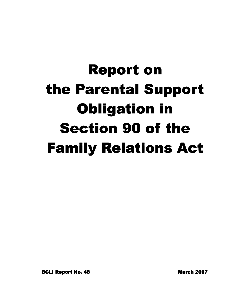# **Report on** the Parental Support Obligation in **Section 90 of the Family Relations Act**

BCLI Report No. 48 No. 48 No. 48 No. 48 No. 48 No. 48 No. 48 No. 49 No. 49 No. 49 No. 49 No. 49 No. 49 No. 49 No. 49 No. 49 No. 49 No. 49 No. 49 No. 49 No. 49 No. 49 No. 49 No. 49 No. 49 No. 49 No. 49 No. 49 No. 49 No. 49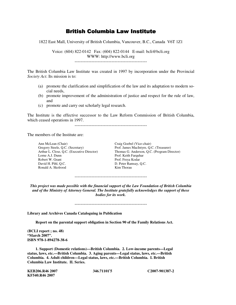# **British Columbia Law Institute**

1822 East Mall, University of British Columbia, Vancouver, B.C., Canada V6T 1Z1

Voice: (604) 822-0142 Fax: (604) 822-0144 E-mail: bcli@bcli.org WWW: http://www.bcli.org

-----------------------------------------------

The British Columbia Law Institute was created in 1997 by incorporation under the Provincial *Society Act*. Its mission is to:

- (a) promote the clarification and simplification of the law and its adaptation to modern social needs,
- (b) promote improvement of the administration of justice and respect for the rule of law, and
- (c) promote and carry out scholarly legal research.

The Institute is the effective successor to the Law Reform Commission of British Columbia, which ceased operations in 1997.

-----------------------------------------------

The members of the Institute are:

Ann McLean (Chair)<br>
Gregory Steele, Q.C. (Secretary) Craig Goebel (Vice-chair)<br>
Prof. James MacIntyre, Q.C. (Treasurer) Gregory Steele, Q.C. (Secretary) Lorne A.J. Dunn Prof. Keith Farquhar Robert W. Grant Prof. Freya Kodar David H. Pihl, Q.C. D. Peter Ramsay, Q.C. Ronald A. Skolrood

Arthur L. Close, Q.C. (Executive Director) Thomas G. Anderson, Q.C. (Program Director)

-----------------------------------------------

*This project was made possible with the financial support of the Law Foundation of British Columbia and of the Ministry of Attorney General. The Institute gratefully acknowledges the support of these bodies for its work.* 

-----------------------------------------------

**Library and Archives Canada Cataloguing in Publication** 

 **Report on the parental support obligation in Section 90 of the Family Relations Act.** 

**(BCLI report ; no. 48) "March 2007". ISBN 978-1-894278-38-6** 

 **1. Support (Domestic relations)—British Columbia. 2. Low-income parents—Legal status, laws, etc.—British Columbia. 3. Aging parents—Legal status, laws, etc.—British Columbia. 4. Adult children—Legal status, laws, etc.—British Columbia. I. British Columbia Law Institute. II. Series.** 

| KEB206.R46 2007 | 346.71101'5 | C <sub>2007</sub> -901387-2 |
|-----------------|-------------|-----------------------------|
| KF540.R46 2007  |             |                             |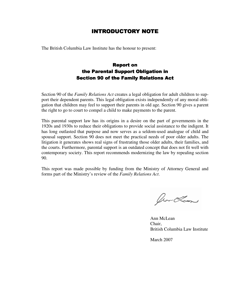# **INTRODUCTORY NOTE**

The British Columbia Law Institute has the honour to present:

# **Report on** the Parental Support Obligation in **Section 90 of the Family Relations Act**

Section 90 of the *Family Relations Act* creates a legal obligation for adult children to support their dependent parents. This legal obligation exists independently of any moral obligation that children may feel to support their parents in old age. Section 90 gives a parent the right to go to court to compel a child to make payments to the parent.

This parental support law has its origins in a desire on the part of governments in the 1920s and 1930s to reduce their obligations to provide social assistance to the indigent. It has long outlasted that purpose and now serves as a seldom-used analogue of child and spousal support. Section 90 does not meet the practical needs of poor older adults. The litigation it generates shows real signs of frustrating those older adults, their families, and the courts. Furthermore, parental support is an outdated concept that does not fit well with contemporary society. This report recommends modernizing the law by repealing section 90.

This report was made possible by funding from the Ministry of Attorney General and forms part of the Ministry's review of the *Family Relations Act*.

for Los

Ann McLean Chair, British Columbia Law Institute

March 2007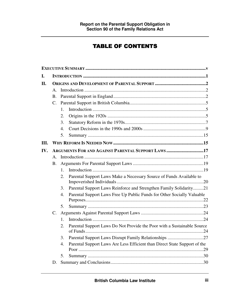# **TABLE OF CONTENTS**

| L.         |                 |                                                    |                                                                           |  |
|------------|-----------------|----------------------------------------------------|---------------------------------------------------------------------------|--|
| <b>II.</b> |                 |                                                    |                                                                           |  |
|            | $\mathbf{A}$    |                                                    |                                                                           |  |
|            | В.              |                                                    |                                                                           |  |
|            | $\mathcal{C}$ . |                                                    |                                                                           |  |
|            |                 | 1.                                                 |                                                                           |  |
|            |                 | 2.                                                 |                                                                           |  |
|            |                 | 3.                                                 |                                                                           |  |
|            |                 | 4.                                                 |                                                                           |  |
|            |                 | 5.                                                 |                                                                           |  |
| III.       |                 |                                                    |                                                                           |  |
| IV.        |                 | ARGUMENTS FOR AND AGAINST PARENTAL SUPPORT LAWS 17 |                                                                           |  |
|            | $\mathsf{A}$ .  |                                                    |                                                                           |  |
|            | Β.              |                                                    |                                                                           |  |
|            |                 | 1.                                                 |                                                                           |  |
|            |                 | 2.                                                 | Parental Support Laws Make a Necessary Source of Funds Available to       |  |
|            |                 | 3.                                                 | Parental Support Laws Reinforce and Strengthen Family Solidarity21        |  |
|            |                 | 4.                                                 | Parental Support Laws Free Up Public Funds for Other Socially Valuable    |  |
|            |                 |                                                    |                                                                           |  |
|            |                 | 5.                                                 |                                                                           |  |
|            | C.              |                                                    |                                                                           |  |
|            |                 | 1.                                                 |                                                                           |  |
|            |                 | 2.                                                 | Parental Support Laws Do Not Provide the Poor with a Sustainable Source   |  |
|            |                 | 3.                                                 |                                                                           |  |
|            |                 | $\overline{4}$ .                                   | Parental Support Laws Are Less Efficient than Direct State Support of the |  |
|            |                 | 5.                                                 |                                                                           |  |
|            | D.              |                                                    |                                                                           |  |
|            |                 |                                                    |                                                                           |  |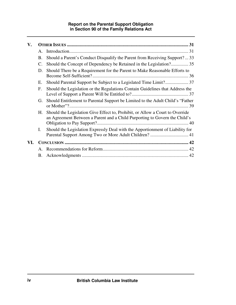### **Report on the Parental Support Obligation in Section 90 of the Family Relations Act**

| V.  |            |                                                                                                                                                             |  |
|-----|------------|-------------------------------------------------------------------------------------------------------------------------------------------------------------|--|
|     | A.         |                                                                                                                                                             |  |
|     | <b>B.</b>  | Should a Parent's Conduct Disqualify the Parent from Receiving Support? 33                                                                                  |  |
|     | C.         | Should the Concept of Dependency be Retained in the Legislation? 35                                                                                         |  |
|     | D.         | Should There be a Requirement for the Parent to Make Reasonable Efforts to                                                                                  |  |
|     | Е.         |                                                                                                                                                             |  |
|     | F.         | Should the Legislation or the Regulations Contain Guidelines that Address the                                                                               |  |
|     | G.         | Should Entitlement to Parental Support be Limited to the Adult Child's "Father                                                                              |  |
|     | Н.         | Should the Legislation Give Effect to, Prohibit, or Allow a Court to Override<br>an Agreement Between a Parent and a Child Purporting to Govern the Child's |  |
|     | I.         | Should the Legislation Expressly Deal with the Apportionment of Liability for<br>Parental Support Among Two or More Adult Children?  41                     |  |
| VI. |            |                                                                                                                                                             |  |
|     |            |                                                                                                                                                             |  |
|     | <b>B</b> . |                                                                                                                                                             |  |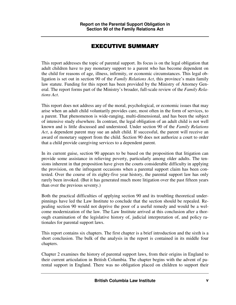# EXECUTIVE SUMMARY

This report addresses the topic of parental support. Its focus is on the legal obligation that adult children have to pay monetary support to a parent who has become dependent on the child for reasons of age, illness, infirmity, or economic circumstances. This legal obligation is set out in section 90 of the *Family Relations Act*, this province's main family law statute. Funding for this report has been provided by the Ministry of Attorney General. The report forms part of the Ministry's broader, full-scale review of the *Family Relations Act*.

This report does not address any of the moral, psychological, or economic issues that may arise when an adult child voluntarily provides care, most often in the form of services, to a parent. That phenomenon is wide-ranging, multi-dimensional, and has been the subject of intensive study elsewhere. In contrast, the legal obligation of an adult child is not well known and is little discussed and understood. Under section 90 of the *Family Relations Act*, a dependent parent may sue an adult child. If successful, the parent will receive an award of monetary support from the child. Section 90 does not authorize a court to order that a child provide caregiving services to a dependent parent.

In its current guise, section 90 appears to be based on the proposition that litigation can provide some assistance in relieving poverty, particularly among older adults. The tensions inherent in that proposition have given the courts considerable difficulty in applying the provision, on the infrequent occasions when a parental support claim has been contested. Over the course of its eighty-five year history, the parental support law has only rarely been invoked. (But it has generated much more litigation over the past fifteen years than over the previous seventy.)

Both the practical difficulties of applying section 90 and its troubling theoretical underpinnings have led the Law Institute to conclude that the section should be repealed. Repealing section 90 would not deprive the poor of a useful remedy and would be a welcome modernization of the law. The Law Institute arrived at this conclusion after a thorough examination of the legislative history of, judicial interpretation of, and policy rationales for parental support laws.

This report contains six chapters. The first chapter is a brief introduction and the sixth is a short conclusion. The bulk of the analysis in the report is contained in its middle four chapters.

Chapter 2 examines the history of parental support laws, from their origins in England to their current articulation in British Columbia. The chapter begins with the advent of parental support in England. There was no obligation placed on children to support their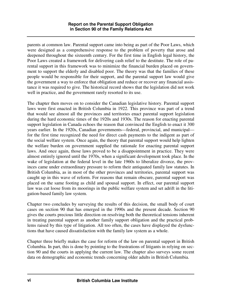parents at common law. Parental support came into being as part of the Poor Laws, which were designed as a comprehensive response to the problem of poverty that arose and deepened throughout the sixteenth century. For the first time in English legal history, the Poor Laws created a framework for delivering cash relief to the destitute. The role of parental support in this framework was to minimize the financial burden placed on government to support the elderly and disabled poor. The theory was that the families of these people would be responsible for their support, and the parental support law would give the government a way to enforce that obligation and reduce or recover any financial assistance it was required to give. The historical record shows that the legislation did not work well in practice, and the government rarely resorted to its use.

The chapter then moves on to consider the Canadian legislative history. Parental support laws were first enacted in British Columbia in 1922. This province was part of a trend that would see almost all the provinces and territories enact parental support legislation during the hard economic times of the 1920s and 1930s. The reason for enacting parental support legislation in Canada echoes the reason that convinced the English to enact it 300 years earlier. In the 1920s, Canadian governments—federal, provincial, and municipal for the first time recognized the need for direct cash payments to the indigent as part of the social welfare system. Once again, the theory that parental support would help lighten the welfare burden on government supplied the rationale for enacting parental support laws. And once again, those laws proved to be a disappointment in practice. They were almost entirely ignored until the 1970s, when a significant development took place. In the wake of legislation at the federal level in the late 1960s to liberalize divorce, the provinces came under extraordinary pressure to reform their antiquated family law statutes. In British Columbia, as in most of the other provinces and territories, parental support was caught up in this wave of reform. For reasons that remain obscure, parental support was placed on the same footing as child and spousal support. In effect, our parental support law was cut loose from its moorings in the public welfare system and set adrift in the litigation-based family law system.

Chapter two concludes by surveying the results of this decision, the small body of court cases on section 90 that has emerged in the 1990s and the present decade. Section 90 gives the courts precious little direction on resolving both the theoretical tensions inherent in treating parental support as another family support obligation and the practical problems raised by this type of litigation. All too often, the cases have displayed the dysfunctions that have caused dissatisfaction with the family law system as a whole.

Chapter three briefly makes the case for reform of the law on parental support in British Columbia. In part, this is done by pointing to the frustrations of litigants in relying on section 90 and the courts in applying the current law. The chapter also surveys some recent data on demographic and economic trends concerning older adults in British Columbia.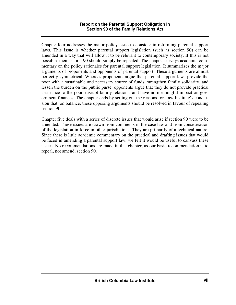Chapter four addresses the major policy issue to consider in reforming parental support laws. This issue is whether parental support legislation (such as section 90) can be amended in a way that will allow it to be relevant to contemporary society. If this is not possible, then section 90 should simply be repealed. The chapter surveys academic commentary on the policy rationales for parental support legislation. It summarizes the major arguments of proponents and opponents of parental support. These arguments are almost perfectly symmetrical. Whereas proponents argue that parental support laws provide the poor with a sustainable and necessary source of funds, strengthen family solidarity, and lessen the burden on the public purse, opponents argue that they do not provide practical assistance to the poor, disrupt family relations, and have no meaningful impact on government finances. The chapter ends by setting out the reasons for Law Institute's conclusion that, on balance, these opposing arguments should be resolved in favour of repealing section 90.

Chapter five deals with a series of discrete issues that would arise if section 90 were to be amended. These issues are drawn from comments in the case law and from consideration of the legislation in force in other jurisdictions. They are primarily of a technical nature. Since there is little academic commentary on the practical and drafting issues that would be faced in amending a parental support law, we felt it would be useful to canvass these issues. No recommendations are made in this chapter, as our basic recommendation is to repeal, not amend, section 90.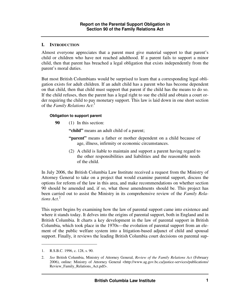## **I. INTRODUCTION**

Almost everyone appreciates that a parent must give material support to that parent's child or children who have not reached adulthood. If a parent fails to support a minor child, then that parent has breached a legal obligation that exists independently from the parent's moral duties.

But most British Columbians would be surprised to learn that a corresponding legal obligation exists for adult children. If an adult child has a parent who has become dependent on that child, then that child must support that parent if the child has the means to do so. If the child refuses, then the parent has a legal right to sue the child and obtain a court order requiring the child to pay monetary support. This law is laid down in one short section of the *Family Relations Act*: 1

#### **Obligation to support parent**

**90** (1) In this section:

"child" means an adult child of a parent;

- **"parent"** means a father or mother dependent on a child because of age, illness, infirmity or economic circumstances.
- (2) A child is liable to maintain and support a parent having regard to the other responsibilities and liabilities and the reasonable needs of the child.

In July 2006, the British Columbia Law Institute received a request from the Ministry of Attorney General to take on a project that would examine parental support, discuss the options for reform of the law in this area, and make recommendations on whether section 90 should be amended and, if so, what those amendments should be. This project has been carried out to assist the Ministry in its comprehensive review of the *Family Relations Act*. 2

This report begins by examining how the law of parental support came into existence and where it stands today. It delves into the origins of parental support, both in England and in British Columbia. It charts a key development in the law of parental support in British Columbia, which took place in the 1970s—the evolution of parental support from an element of the public welfare system into a litigation-based adjunct of child and spousal support. Finally, it reviews the leading British Columbia court decisions on parental sup-

<sup>1.</sup> R.S.B.C. 1996, c. 128, s. 90.

<sup>2.</sup> *See* British Columbia, Ministry of Attorney General, *Review of the Family Relations Act* (February 2006), online: Ministry of Attorney General <http://www.ag.gov.bc.ca/justice-services/publications/ Review Family Relations Act.pdf>.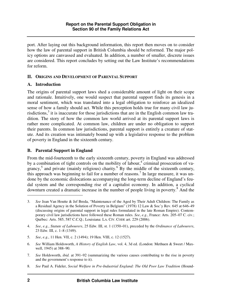port. After laying out this background information, this report then moves on to consider how the law of parental support in British Columbia should be reformed. The major policy options are canvassed and evaluated. In addition, a number of smaller, discrete issues are considered. This report concludes by setting out the Law Institute's recommendations for reform.

### **II. ORIGINS AND DEVELOPMENT OF PARENTAL SUPPORT**

### **A. Introduction**

The origins of parental support laws shed a considerable amount of light on their scope and rationale. Intuitively, one would suspect that parental support finds its genesis in a moral sentiment, which was translated into a legal obligation to reinforce an idealized sense of how a family should act. While this perception holds true for many civil law jurisdictions, $3$  it is inaccurate for those jurisdictions that are in the English common law tradition. The story of how the common law world arrived at its parental support laws is rather more complicated. At common law, children are under no obligation to support their parents. In common law jurisdictions, parental support is entirely a creature of statute. And its creation was intimately bound up with a legislative response to the problem of poverty in England in the sixteenth century.

# **B. Parental Support in England**

From the mid-fourteenth to the early sixteenth century, poverty in England was addressed by a combination of tight controls on the mobility of labour,<sup>4</sup> criminal prosecution of vagrancy,<sup>5</sup> and private (mainly religious) charity.<sup>6</sup> By the middle of the sixteenth century, this approach was beginning to fail for a number of reasons.<sup>7</sup> In large measure, it was undone by the economic dislocations accompanying the long-term decline of England's feudal system and the corresponding rise of a capitalist economy. In addition, a cyclical downturn created a dramatic increase in the number of people living in poverty.<sup>8</sup> And the

<sup>3.</sup> *See* Jean Van Houtte & Jef Breda, "Maintenance of the Aged by Their Adult Children: The Family as a Residual Agency in the Solution of Poverty in Belgium" (1978) 12 Law & Soc'y Rev. 645 at 646–49 (discussing origins of parental support in legal rules formulated in the late Roman Empire). Contemporary civil law jurisdictions have followed these Roman rules. *See*, *e.g.*, France: Arts. 205–07 C. civ.; Québec: Arts. 585, 587 C.C.Q.; Louisiana: LA. CIV. CODE art. 229 (2006).

<sup>4.</sup> *See*, *e.g.*, *Statute of Labourers*, 25 Edw. III, st. 1 (1350–01), preceded by the *Ordinance of Labourers*, 23 Edw. III, c. 1–8 (1349).

<sup>5.</sup> *See*, *e.g.*, 11 Hen. VII, c. 2 (1494); 19 Hen. VIII, c. 12 (1527).

<sup>6.</sup> *See* William Holdsworth, *A History of English Law*, vol. 4, 3d ed. (London: Methuen & Sweet / Maxwell, 1945) at 388–90.

<sup>7.</sup> *See* Holdsworth, *ibid.* at 391–92 (summarizing the various causes contributing to the rise in poverty and the government's response to it).

<sup>8.</sup> *See* Paul A. Fideler, *Social Welfare in Pre-Industrial England: The Old Poor Law Tradition* (Hound-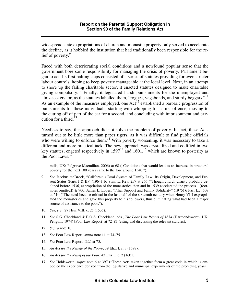widespread state expropriations of church and monastic property only served to accelerate the decline, as it hobbled the institution that had traditionally been responsible for the relief of poverty.<sup>9</sup>

Faced with both deteriorating social conditions and a newfound popular sense that the government bore some responsibility for managing the crisis of poverty, Parliament began to act. Its first halting steps consisted of a series of statutes providing for even stricter labour controls, hoping to keep poverty manageable at the local level. Next, in an attempt to shore up the failing charitable sector, it enacted statutes designed to make charitable giving compulsory.<sup>10</sup> Finally, it legislated harsh punishments for the unemployed and alms-seekers, or, as the statutes labelled them, "rogues, vagabonds, and sturdy beggars."<sup>11</sup> As an example of the measures employed, one  $Act^{12}$  established a barbaric progression of punishments for these individuals, starting with whipping for a first offence, moving to the cutting off of part of the ear for a second, and concluding with imprisonment and execution for a third.<sup>13</sup>

Needless to say, this approach did not solve the problem of poverty. In fact, these Acts turned out to be little more than paper tigers, as it was difficult to find public officials who were willing to enforce them.<sup>14</sup> With poverty worsening, it was necessary to take a different and more practical tack. The new approach was crystallized and codified in two key statutes, enacted respectively in  $1597^{15}$  and  $1601<sup>16</sup>$  which are known to posterity as the Poor Laws.<sup>17</sup>

mills, UK: Palgrave Macmillan, 2006) at 68 ("Conditions that would lead to an increase in structural poverty for the next 100 years came to the fore around 1540.").

- 9. *See* Jacobus tenBroek, "California's Dual System of Family Law: Its Origin, Development, and Present Status (Parts I & II)" (1964) 16 Stan. L. Rev. 257 at 266 ("Though church charity probably declined before 1536, expropriation of the monasteries then and in 1539 accelerated the process." [footnotes omitted]) & 900; James L. Lopes, "Filial Support and Family Solidarity" (1975) 6 Pac. L.J. 508 at 510 ("The need became critical in the last half of the sixteenth century when Henry VIII expropriated the monasteries and gave this property to his followers, thus eliminating what had been a major source of assistance to the poor.").
- 10. *See*, *e.g.*, 27 Hen. VIII, c. 25 (1535).
- 11. *See* S.G. Checkland & E.O.A. Checkland, eds., *The Poor Law Report of 1834* (Harmondsworth, UK: Penguin, 1974) [Poor Law Report] at 72–81 (citing and discussing the relevant statutes).
- 12. *Supra* note 10.

- 13. *See* Poor Law Report, *supra* note 11 at 74–75.
- 14. *See* Poor Law Report, *ibid.* at 75.
- 15. *An Act for the Reliefe of the Poore*, 39 Eliz. I, c. 3 (1597).
- 16. *An Act for the Relief of the Poor,* 43 Eliz. I, c. 2 (1601).
- 17. *See* Holdsworth, *supra* note 6 at 397 ("These Acts taken together form a great code in which is embodied the experience derived from the legislative and municipal experiments of the preceding years."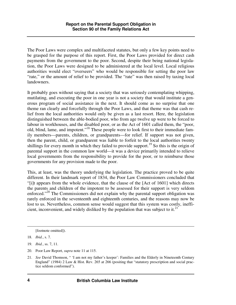The Poor Laws were complex and multifaceted statutes, but only a few key points need to be grasped for the purpose of this report. First, the Poor Laws provided for direct cash payments from the government to the poor. Second, despite their being national legislation, the Poor Laws were designed to be administered at the local level. Local religious authorities would elect "overseers" who would be responsible for setting the poor law "rate," or the amount of relief to be provided. The "rate" was then raised by taxing local landowners.

It probably goes without saying that a society that was seriously contemplating whipping, mutilating, and executing the poor in one year is not a society that would institute a generous program of social assistance in the next. It should come as no surprise that one theme ran clearly and forcefully through the Poor Laws, and that theme was that cash relief from the local authorities would only be given as a last resort. Here, the legislation distinguished between the able-bodied poor, who from age twelve up were to be forced to labour in workhouses, and the disabled poor, or as the Act of 1601 called them, the "poor, old, blind, lame, and impotent."<sup>18</sup> These people were to look first to their immediate family members—parents, children, or grandparents—for relief. If support was not given, then the parent, child, or grandparent was liable to forfeit to the local authorities twenty shillings for every month in which they failed to provide support.<sup>19</sup> So this is the origin of parental support in the common law world—it was a device primarily intended to relieve local governments from the responsibility to provide for the poor, or to reimburse those governments for any provision made to the poor.

This, at least, was the theory underlying the legislation. The practice proved to be quite different. In their landmark report of 1834, the Poor Law Commissioners concluded that "[i]t appears from the whole evidence, that the clause of the [Act of 1601] which directs the parents and children of the impotent to be assessed for their support is very seldom enforced."<sup>20</sup> The Commissioners did not explain why the parental support obligation was rarely enforced in the seventeenth and eighteenth centuries, and the reasons may now be lost to us. Nevertheless, common sense would suggest that this system was costly, inefficient, inconvenient, and widely disliked by the population that was subject to it.<sup>21</sup>

[footnote omitted]).

20. Poor Law Report, *supra* note 11 at 115.

<sup>18.</sup> *Ibid.*, s. 7.

<sup>19.</sup> *Ibid.*, ss. 7, 11.

<sup>21.</sup> *See* David Thomson, " 'I am not my father's keeper': Families and the Elderly in Nineteenth Century England" (1984) 2 Law & Hist. Rev. 265 at 266 (positing that "statutory prescription and social practice seldom conformed").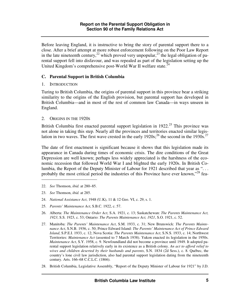Before leaving England, it is instructive to bring the story of parental support there to a close. After a brief attempt at more robust enforcement following on the Poor Law Report in the late nineteenth century,  $^{22}$  which proved very unpopular,  $^{23}$  the legal obligation of parental support fell into disfavour, and was repealed as part of the legislation setting up the United Kingdom's comprehensive post-World War II welfare state.<sup>24</sup>

### **C. Parental Support in British Columbia**

1. INTRODUCTION

Turing to British Columbia, the origins of parental support in this province bear a striking similarity to the origins of the English provision, but parental support has developed in British Columbia—and in most of the rest of common law Canada—in ways unseen in England.

2. ORIGINS IN THE 1920S

British Columbia first enacted parental support legislation in  $1922<sup>25</sup>$  This province was not alone in taking this step. Nearly all the provinces and territories enacted similar legislation in two waves. The first wave crested in the early  $1920s$ ;<sup>26</sup> the second in the 1930s.<sup>27</sup>

The date of first enactment is significant because it shows that this legislation made its appearance in Canada during times of economic crisis. The dire conditions of the Great Depression are well known; perhaps less widely appreciated is the harshness of the economic recession that followed World War I and blighted the early 1920s. In British Columbia, the Report of the Deputy Minister of Labour for 1921 described that year as ". . . probably the most critical period the industries of this Province have ever known,"<sup>28</sup> fea-

- 22. *See* Thomson, *ibid.* at 280–85.
- 23. *See* Thomson, *ibid.* at 285.

- 24. *National Assistance Act*, 1948 (U.K), 11 & 12 Geo. VI, c. 29, s. 1.
- 25. *Parents' Maintenance Act*, S.B.C. 1922, c. 57.
- 26. Alberta: *The Maintenance Order Act*, S.A. 1921, c. 13; Saskatchewan: *The Parents Maintenance Act, 1923*, S.S. 1923, c. 53; Ontario: *The Parents Maintenance Act, 1921*, S.O. 1921, c. 52.
- 27. Manitoba: *The Parents' Maintenance Act*, S.M. 1933, c. 31; New Brunswick: *The Parents Maintenance Act*, S.N.B. 1936, c. 50; Prince Edward Island: *The Parents' Maintenance Act of Prince Edward Island*, S.P.E.I. 1933, c. 12; Nova Scotia: *The Parents Maintenance Act*, S.N.S. 1933, c. 14; Northwest Territories: *Maintenance Act* (assented to 7 March 1938). Yukon enacted its legislation in the 1950s. *Maintenance Act*, S.Y. 1958, c. 9. Newfoundland did not become a province until 1949. It adopted parental support legislation relatively early in its existence as a British colony. *An act to afford relief to wives and children deserted by their husbands and parents*, S.N. 1834 (2d Sess.), c. 8. Québec, the country's lone civil law jurisdiction, also had parental support legislation dating from the nineteenth century. Arts. 166–68 C.C.L.C. (1866).
- 28. British Columbia, Legislative Assembly, "Report of the Deputy Minister of Labour for 1921" by J.D.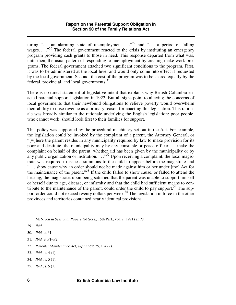#### **Report on the Parental Support Obligation in Section 90 of the Family Relations Act**

turing "... an alarming state of unemployment ..."<sup>29</sup> and "... a period of falling wages.  $\ldots$ <sup>30</sup>. The federal government reacted to the crisis by instituting an emergency program providing cash grants to those in need. This response departed from what was, until then, the usual pattern of responding to unemployment by creating make-work programs. The federal government attached two significant conditions to the program. First, it was to be administered at the local level and would only come into effect if requested by the local government. Second, the cost of the program was to be shared equally by the federal, provincial, and local governments. $31$ 

There is no direct statement of legislative intent that explains why British Columbia enacted parental support legislation in 1922. But all signs point to allaying the concerns of local governments that their newfound obligations to relieve poverty would overwhelm their ability to raise revenue as a primary reason for enacting this legislation. This rationale was broadly similar to the rationale underlying the English legislation: poor people, who cannot work, should look first to their families for support.

This policy was supported by the procedural machinery set out in the Act. For example, the legislation could be invoked by the complaint of a parent, the Attorney General, or "[w]here the parent resides in any municipality required by law to make provision for its poor and destitute, the municipality may by any constable or peace officer . . . make the complaint on behalf of the parent, whether aid has been given by the municipality or by any public organization or institution. . . . "<sup>32</sup> Upon receiving a complaint, the local magistrate was required to issue a summons to the child to appear before the magistrate and ". . . show cause why an order should not be made against him or her under [the] Act for the maintenance of the parent."<sup>33</sup> If the child failed to show cause, or failed to attend the hearing, the magistrate, upon being satisfied that the parent was unable to support himself or herself due to age, disease, or infirmity and that the child had sufficient means to contribute to the maintenance of the parent, could order the child to pay support.<sup>34</sup> The support order could not exceed twenty dollars per week.<sup>35</sup> The legislation in force in the other provinces and territories contained nearly identical provisions.

McNiven in *Sessional Papers*, 2d Sess., 15th Parl., vol. 2 (1921) at P8.

- 32. *Parents' Maintenance Act*, *supra* note 25, s. 4 (2).
- 33. *Ibid.*, s. 4 (1).
- 34. *Ibid.*, s. 5 (1).
- 35. *Ibid.*, s. 5 (1).

<sup>29.</sup> *Ibid.* 

<sup>30.</sup> *Ibid.* at P1.

<sup>31.</sup> *Ibid.* at P1–P2.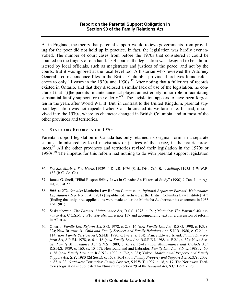As in England, the theory that parental support would relieve governments from providing for the poor did not hold up in practice. In fact, the legislation was hardly ever invoked. The number of court cases from before the 1970s that considered it could be counted on the fingers of one hand.<sup>36</sup> Of course, the legislation was designed to be administered by local officials, such as magistrates and justices of the peace, and not by the courts. But it was ignored at the local level too. A historian who reviewed the Attorney General's correspondence files in the British Columbia provincial archives found references to only 11 cases in the 1920s and 1930s.<sup>37</sup> After noting that a fuller set of records existed in Ontario, and that they disclosed a similar lack of use of the legislation, he concluded that "[t]he parents' maintenance act played an extremely minor role in facilitating substantial family support for the elderly."<sup>38</sup> The legislation appears to have been forgotten in the years after World War II. But, in contrast to the United Kingdom, parental support legislation was not repealed when Canada created its welfare state. Instead, it survived into the 1970s, where its character changed in British Columbia, and in most of the other provinces and territories.

#### 3. STATUTORY REFORM IN THE 1970S

 $\overline{a}$ 

Parental support legislation in Canada has only retained its original form, in a separate statute administered by local magistrates or justices of the peace, in the prairie provinces.<sup>39</sup> All the other provinces and territories revised their legislation in the 1970s or 1980s.<sup>40</sup> The impetus for this reform had nothing to do with parental support legislation

<sup>36.</sup> *See Ste. Marie v. Ste. Marie*, [1929] 4 D.L.R. 1076 (Sask. Dist. Ct.); *R. v. Skilling*, [1935] 1 W.W.R. 183 (B.C. Co. Ct.).

<sup>37.</sup> James G. Snell, "Filial Responsibility Laws in Canada: An Historical Study" (1990) 9 Can. J. on Aging 268 at 271.

<sup>38.</sup> *Ibid.* at 272. *See also* Manitoba Law Reform Commission, *Informal Report on Parents' Maintenance Legislation* (Rep. No. 11A, 1981) [unpublished, archived at the British Columbia Law Institute] at 3 (finding that only three applications were made under the Manitoba Act between its enactment in 1933 and 1981).

<sup>39.</sup> Saskatchewan: *The Parents' Maintenance Act*, R.S.S. 1978, c. P-1; Manitoba: *The Parents' Maintenance Act*, C.C.S.M. c. P10. *See also infra* note 137 and accompanying text for a discussion of reform in Alberta.

<sup>40.</sup> Ontario: *Family Law Reform Act*, S.O. 1978, c. 2, s. 16 (now *Family Law Act*, R.S.O. 1990, c. F.3, s. 32); New Brunswick: *Child and Family Services and Family Relations Act*, S.N.B. 1980, c. C-2.1, s. 114 (now *Family Services Act*, S.N.B. 1980, c. F-2.2, s. 114); Prince Edward Island: *Family Law Reform Act*, S.P.E.I. 1978, c. 6, s. 18 (now *Family Law Act*, R.S.P.E.I. 1988, c. F-2.1, s. 32); Nova Scotia: *Family Maintenance Act*, S.N.S. 1980, c. 6, ss. 15–17 (now *Maintenance and Custody Act*, R.S.N.S. 1989, c. 160, ss. 15–17); Newfoundland and Labrador: *Family Law Act*, S.N.L. 1988, c. 60, s. 38 (now *Family Law Act*, R.S.N.L. 1990, c. F-2, s. 38); Yukon: *Matrimonial Property and Family Support Act*, S.Y. 1980 (2d Sess.), c. 15, s. 30.4 (now *Family Property and Support Act*, R.S.Y. 2002, c. 83, s. 33; Northwest Territories: *Family Law Act*, S.N.W.T. 1997, c. 18, s. 17. The Northwest Territories legislation is duplicated for Nunavut by section 29 of the *Nunavut Act*, S.C. 1993, c. 28.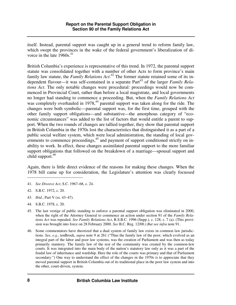itself. Instead, parental support was caught up in a general trend to reform family law, which swept the provinces in the wake of the federal government's liberalization of divorce in the late  $1960s.<sup>41</sup>$ 

British Columbia's experience is representative of this trend. In 1972, the parental support statute was consolidated together with a number of other Acts to form province's main family law statute, the *Family Relations Act*. <sup>42</sup> The former statute retained some of its independent flavour—it was self-contained in a separate Part<sup>43</sup> of the larger *Family Relations Act*. The only notable changes were procedural: proceedings would now be commenced in Provincial Court, rather than before a local magistrate, and local governments no longer had standing to commence a proceeding. But, when the *Family Relations Act* was completely overhauled in 1978,<sup>44</sup> parental support was taken along for the ride. The changes were both symbolic—parental support was, for the first time, grouped with the other family support obligations—and substantive—the amorphous category of "economic circumstances" was added to the list of factors that would entitle a parent to support. When the two rounds of changes are tallied together, they show that parental support in British Columbia in the 1970s lost the characteristics that distinguished it as a part of a public social welfare system, which were local administration, the standing of local governments to commence proceedings, $45$  and payment of support conditioned strictly on inability to work. In effect, these changes assimilated parental support to the more familiar support obligations that followed on the breakdown of a marriage—spousal support and child support. $46$ 

Again, there is little direct evidence of the reasons for making these changes. When the 1978 bill came up for consideration, the Legislature's attention was clearly focussed

- 43. *Ibid.*, Part V (ss. 43–47).
- 44. S.B.C. 1978, c. 20.
- 45. The last vestige of public standing to enforce a parental support obligation was eliminated in 2000, when the right of the Attorney General to commence an action under section 91 of the *Family Relations Act* was repealed. *See Family Relations Act*, R.S.B.C. 1996 (Supp.), c. 128, s. 7 (a). (This provision was brought into force on 28 February 2000. *See* B.C. Reg. 12/00.) *But see infra* note 91.
- 46. Some commentators have theorized that a dual system of family law exists in common law jurisdictions. *See*, *e.g.*, tenBroek, *supra* note 9 at 261 ("Thus the family law of the poor, which evolved as an integral part of the labor and poor law systems, was the creation of Parliament and was then as today primarily statutory. The family law of the rest of the community was created by the common-law courts. It was integrated into the main body of the nation's statutory law only as it was a part of the feudal law of inheritance and wardship. Here the role of the courts was primary and that of Parliament secondary.") One way to understand the effect of the changes in the 1970s is to appreciate that they moved parental support in British Columbia out of its traditional place in the poor law system and into the other, court-driven, system.

<sup>41.</sup> *See Divorce Act*, S.C. 1967–68, c. 24.

<sup>42.</sup> S.B.C. 1972, c. 20.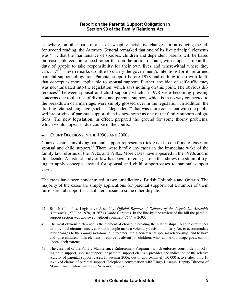elsewhere, on other parts of a set of sweeping legislative changes. In introducing the bill for second reading, the Attorney General remarked that one of its five principal elements was "... that the maintenance of spouses, children and dependent parents will be based on reasonable economic need rather than on the notion of fault, with emphasis upon the duty of people to take responsibility for their own lives and wherewithal where they can.  $\cdots$ <sup>347</sup> These remarks do little to clarify the government's intentions for its reformed parental support obligation. Parental support before 1978 had nothing to do with fault; that concept is more applicable to spousal support. Further, the idea of self-sufficiency was not translated into the legislation, which says nothing on this point. The obvious differences<sup>48</sup> between spousal and child support, which in 1978 were becoming pressing concerns due to the rise of divorce, and parental support, which is in no way connected to the breakdown of a marriage, were simply glossed over in the legislation. In addition, the drafting retained language (such as "dependent") that was more consistent with the public welfare origins of parental support than its new home as one of the family support obligations. The new legislation, in effect, prepared the ground for some thorny problems, which would appear in due course in the courts.

#### 4. COURT DECISIONS IN THE 1990S AND 2000S

 $\overline{a}$ 

Court decisions involving parental support represent a trickle next to the flood of cases on spousal and child support.<sup>49</sup> There were hardly any cases in the immediate wake of the family law reforms of the 1970s and 1980s. More cases have appeared in the 1990s and in this decade. A distinct body of law has begun to emerge, one that shows the strain of trying to apply concepts created for spousal and child support cases to parental support cases.

The cases have been concentrated in two jurisdictions: British Columbia and Ontario. The majority of the cases are simply applications for parental support, but a number of them raise parental support as a collateral issue to some other dispute.

<sup>47.</sup> British Columbia, Legislative Assembly, *Official Reports of Debates of the Legislative Assembly (Hansard)*, (27 June 1978) at 2673 (Garde Gardom). In the line-by-line review of the bill the parental support section was approved without comment. *Ibid.* at 2693.

<sup>48.</sup> The most obvious difference is the element of choice in creating the relationships. Despite differences in individual circumstances, at bottom people make a voluntary decision to marry (or, to accommodate later changes to the *Family Relations Act*, to enter into a non-marital spousal relationship) and to have and raise children. This element of choice is absent for children, who, as the old adage goes, cannot choose their parents.

<sup>49.</sup> The caseload of the Family Maintenance Enforcement Program—which enforces court orders involving child support, spousal support, or parental support claims—provides one indication of the relative scarcity of parental support cases. In autumn 2006, out of approximately 50 000 active files, only 10 involved claims of parental support. Telephone conversation with Ringo Dosanjh, Deputy Director of Maintenance Enforcement (20 November 2006).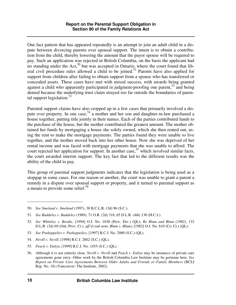One fact pattern that has appeared repeatedly is an attempt to join an adult child in a dispute between divorcing parents over spousal support. The intent is to obtain a contribution from the child, thereby lowering the amount that the payor spouse will be required to pay. Such an application was rejected in British Columbia, on the basis the applicant had no standing under the Act,<sup>50</sup> but was accepted in Ontario, where the court found that liberal civil procedure rules allowed a child to be joined.<sup>51</sup> Parents have also applied for support from children after failing to obtain support from a spouse who has transferred or concealed assets. These cases have met with mixed success, with awards being granted against a child who apparently participated in judgment-proofing one parent,  $52 \text{ and being}$ denied because the underlying trust claim strayed too far outside the boundaries of parental support legislation. $53$ 

Parental support claims have also cropped up in a few cases that primarily involved a dispute over property. In one case,  $54$  a mother and her son and daughter-in-law purchased a house together, putting title jointly in their names. Each of the parties contributed funds to the purchase of the house, but the mother contributed the greatest amount. The mother obtained her funds by mortgaging a house she solely owned, which she then rented out, using the rent to make the mortgage payments. The parties found they were unable to live together, and the mother moved back into her other house. Now she was deprived of her rental income and was faced with mortgage payments that she was unable to afford. The court rejected her application for support. In another case,<sup>55</sup> which involved similar facts, the court awarded interim support. The key fact that led to the different results was the ability of the child to pay.

This group of parental support judgments indicates that the legislation is being used as a stopgap in some cases. For one reason or another, the court was unable to grant a parent a remedy in a dispute over spousal support or property, and it turned to parental support as a means to provide some relief.<sup>56</sup>

<sup>50.</sup> *See Smeland v. Smeland* (1997), 38 B.C.L.R. (3d) 96 (S.C.).

<sup>51.</sup> *See Baddeley v. Baddeley* (1989), 71 O.R. (2d) 318, 65 D.L.R. (4th) 130 (H.C.J.).

<sup>52.</sup> *See Whiteley v. Brodie*, [1994] O.J. No. 1038 (Prov. Div.) (QL); *Re Blum and Blum* (1982), 132 D.L.R. (3d) 69 (Ont. Prov. Ct.), *aff'd (sub nom. Blum v. Blum)*, [1982] O.J. No. 610 (Co. Ct.) (QL).

<sup>53.</sup> *See Puskeppelies v. Puskeppelies*, [1997] B.C.J. No. 2080 (S.C.) (QL).

<sup>54.</sup> *Nevill v. Nevill*, [1998] B.C.J. 2802 (S.C.) (QL).

<sup>55.</sup> *Peach v. Emlyn*, [1999] B.C.J. No. 1455 (S.C.) (QL).

<sup>56.</sup> Although it is not entirely clear, *Nevill v. Nevill* and *Peach v. Emlyn* may be instances of private care agreements gone awry. Other work by the British Columbia Law Institute may be germane here. *See Report on Private Care Agreements Between Older Adults and Friends or Family Members* (BCLI Rep. No. 18) (Vancouver: The Institute, 2002).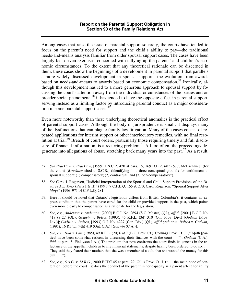Among cases that raise the issue of parental support squarely, the courts have tended to focus on the parent's need for support and the child's ability to pay—the traditional needs-and-means analysis familiar from older spousal support cases. The cases have been largely fact-driven exercises, concerned with tallying up the parents' and children's economic circumstances. To the extent that any theoretical rationale can be discerned in them, these cases show the beginnings of a development in parental support that parallels a more widely discussed development in spousal support—the evolution from awards based on needs-and-means to awards based on economic compensation.<sup>57</sup> Ironically, although this development has led to a more generous approach to spousal support by focussing the court's attention away from the individual circumstances of the parties and on broader social phenomena,<sup>58</sup> it has tended to have the opposite effect in parental support, serving instead as a limiting factor by introducing parental conduct as a major consideration in some parental support cases.<sup>59</sup>

Even more noteworthy than these underlying theoretical anomalies is the practical effect of parental support cases. Although the body of jurisprudence is small, it displays many of the dysfunctions that can plague family law litigation. Many of the cases consist of repeated applications for interim support or other interlocutory remedies, with no final resolution at trial.<sup>60</sup> Breach of court orders, particularly those requiring timely and full disclosure of financial information, is a recurring problem.<sup>61</sup> All too often, the proceedings degenerate into allegations of abuse, stretching back many years into the past.<sup>62</sup> As a result,

<sup>57.</sup> *See Bracklow v. Bracklow*, [1999] 1 S.C.R. 420 at para. 15, 169 D.L.R. (4th) 577, McLachlin J. (for the court) [Bracklow cited to S.C.R.] (identifying "... three conceptual grounds for entitlement to spousal support: (1) compensatory; (2) contractual; and (3) non-compensatory").

<sup>58.</sup> *See* Carol J. Rogerson, "Judicial Interpretation of the Spousal and Child Support Provisions of the *Divorce Act, 1985* (Parts I & II)" (1991) 7 C.F.L.Q. 155 & 270; Carol Rogerson, "Spousal Support After *Moge*" (1996–97) 14 C.F.L.Q. 281.

<sup>59.</sup> Here it should be noted that Ontario's legislation differs from British Columbia's: it contains an express condition that the parent have cared for the child or provided support in the past, which points even more clearly to compensation as a rationale for the legislation.

<sup>60.</sup> *See*, *e.g.*, *Anderson v. Anderson*, [2000] B.C.J. No. 2694 (S.C. Master) (QL), *aff'd*, [2001] B.C.J. No. 418 (S.C.) (QL); *Godwin v. Bolsco* (1993), 45 R.F.L. (3d) 310 (Ont. Prov. Div.) [*Godwin* (Prov. Div.)]; *Godwin v. Bolsco*, [1993] O.J. No. 4227 (Gen. Div.) (QL), *aff'd (sub nom. Bolsco v. Godwin)* (1995), 16 R.F.L. (4th) 419 (Ont. C.A.) [*Godwin* (C.A.)].

<sup>61.</sup> *See*, *e.g.*, *Hua v. Lam* (1985), 49 R.F.L. (2d) 6 at 7 (B.C. Prov. Ct.), Collings Prov. Ct. J. ("[b]oth [parties] have been somewhat reticent in discussing their finances with the court . . ."); *Godwin* (C.A.), *ibid.* at para. 5, Finlayson J.A. ("The problem that now confronts the court finds its genesis in the reluctance of the appellant children to file financial statements, despite having been ordered to do so. . . . They said they feared their mother, that she was a member of a cult, that she wanted the money for this  $\text{cult.} \ldots$ ").

<sup>62.</sup> *See*, *e.g.*, *S.A.G. v. M.R.G.*, 2000 BCPC 45 at para. 29, Gillis Prov. Ct. J. (". . . the main bone of contention [before the court] is: does the conduct of the parent in her capacity as a parent affect her ability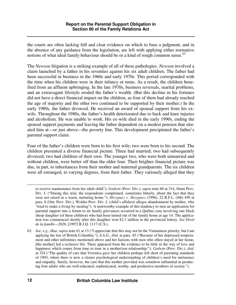the courts are often lacking full and clear evidence on which to base a judgment, and in the absence of any guidance from the legislation, are left with applying either normative notions of what ideal family behaviour should be or a kind of rough common sense. $^{63}$ 

The *Newson* litigation is a striking example of all of these pathologies. *Newson* involved a claim launched by a father in his seventies against his six adult children. The father had been successful in business in the 1960s and early 1970s. This period corresponded with the time when his children were in their infancy or teens. As a result, the children benefited from an affluent upbringing. In the late 1970s, business reversals, marital problems, and an extravagant lifestyle eroded the father's wealth. (But this decline in his fortunes did not have a direct financial impact on the children, as four of them had already reached the age of majority and the other two continued to be supported by their mother.) In the early 1980s, the father divorced. He received an award of spousal support from his exwife. Throughout the 1980s, the father's health deteriorated due to back and knee injuries and alcoholism. He was unable to work. His ex-wife died in the early 1990s, ending the spousal support payments and leaving the father dependent on a modest pension that situated him at—or just above—the poverty line. This development precipitated the father's parental support claim.

Four of the father's children were born to his first wife; two were born to his second. The children presented a diverse financial picture. Three had married; two had subsequently divorced; two had children of their own. The younger two, who were both unmarried and without children, were better off than the older four. Their brighter financial picture was due, in part, to inheritances from their mother and maternal grandparents. The six children were all estranged, to varying degrees, from their father. They variously alleged that they

to receive maintenance from her adult child"); *Godwin* (Prov. Div.), *supra* note 60 at 314, Dunn Prov. Div. J. ("During this trial, the respondents complained, sometimes bitterly, about the fact that they were not raised in a warm, nurturing home."); *Skrzypacz v. Skrzypacz* (1996), 22 R.F.L. (4th) 450 at para. 8 (Ont. Prov. Div.), Wolder Prov. Div. J. (child's affidavit alleges abandonment by mother, who "tried to make a living by stealing"). A noteworthy example of this tendency to turn an application for parental support into a forum to air family grievances occurred in a Québec case involving one black sheep daughter (of three children) who had been turned out of the family home at age 14. The application was commenced shortly after this daughter won \$2.1 million in the provincial lottery. *See Droit de la famille—2626*, [1997] R.J.Q. 1117 (C.S.).

<sup>63.</sup> *See*, *e.g.*, *Hua*, *supra* note 61 at 13 ("I appreciate that this may not be the Vietnamese priority, but I am applying the law of British Columbia."); *S.A.G.*, *ibid.* at para. 45 ("Because of her depressed temperament and other infirmities mentioned above and her liaisons with men who often stayed at her home, [the mother] led a reclusive life. There appeared from the evidence to be little in the way of love and happiness which comes from time to time in a mother/son relationship."); *Godwin* (Prov. Div.), *ibid.* at 324 ("The quality of care that Veronica gave her children perhaps fell short of parenting standards of 1993, where there is now a clearer psychological understanding of children's need for nurturance and empathy. Surely, however, the care that this mother provided was somehow influential in producing four adults who are well-educated, sophisticated, worthy, and productive members of society.").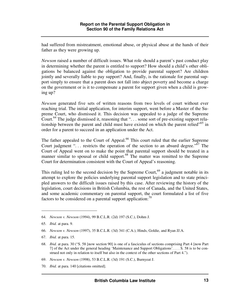had suffered from mistreatment, emotional abuse, or physical abuse at the hands of their father as they were growing up.

*Newson* raised a number of difficult issues. What role should a parent's past conduct play in determining whether the parent is entitled to support? How should a child's other obligations be balanced against the obligation to provide parental support? Are children jointly and severally liable to pay support? And, finally, is the rationale for parental support simply to ensure that a parent does not fall into abject poverty and become a charge on the government or is it to compensate a parent for support given when a child is growing up?

*Newson* generated five sets of written reasons from two levels of court without ever reaching trial. The initial application, for interim support, went before a Master of the Supreme Court, who dismissed it. This decision was appealed to a judge of the Supreme Court.<sup>64</sup> The judge dismissed it, reasoning that ". . . some sort of pre-existing support relationship between the parent and child must have existed on which the parent relied<sup>"65</sup> in order for a parent to succeed in an application under the Act.

The father appealed to the Court of Appeal.<sup>66</sup> This court ruled that the earlier Supreme Court judgment "... restricts the operation of the section to an absurd degree." $\delta$ <sup>7</sup> The Court of Appeal went on to make the point that parental support should be treated in a manner similar to spousal or child support.<sup>68</sup> The matter was remitted to the Supreme Court for determination consistent with the Court of Appeal's reasoning.

This ruling led to the second decision by the Supreme Court,<sup>69</sup> a judgment notable in its attempt to explore the policies underlying parental support legislation and to state principled answers to the difficult issues raised by this case. After reviewing the history of the legislation, court decisions in British Columbia, the rest of Canada, and the United States, and some academic commentary on parental support, the court formulated a list of five factors to be considered on a parental support application:<sup>70</sup>

-

- 69. *Newson v. Newson* (1998), 53 B.C.L.R. (3d) 191 (S.C.), Burnyeat J.
- 70. *Ibid.* at para. 140 [citations omitted].

<sup>64.</sup> *Newson v. Newson* (1994), 99 B.C.L.R. (2d) 197 (S.C.), Dohm J.

<sup>65.</sup> *Ibid.* at para. 9.

<sup>66.</sup> *Newson v. Newson* (1997), 35 B.C.L.R. (3d) 341 (C.A.), Hinds, Goldie, and Ryan JJ.A.

<sup>67.</sup> *Ibid.* at para. 15.

<sup>68.</sup> *Ibid.* at para. 30 ("S. 58 [now section 90] is one of a fasciculus of sections comprising Part 4 [now Part 7] of the Act under the general heading 'Maintenance and Support Obligations'. . . . S. 58 is to be construed not only in relation to itself but also in the context of the other sections of Part 4.").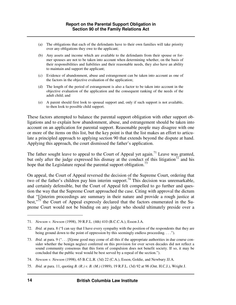- (a) The obligations that each of the defendants have to their own families will take priority over any obligations they owe to the applicant;
- (b) Any assets and income which are available to the defendants from their spouse or former spouses are not to be taken into account when determining whether, on the basis of their responsibilities and liabilities and their reasonable needs, they also have an ability to maintain and support the applicant;
- (c) Evidence of abandonment, abuse and estrangement can be taken into account as one of the factors in the objective evaluation of the application;
- (d) The length of the period of estrangement is also a factor to be taken into account in the objective evaluation of the application and the consequent ranking of the needs of the adult child; and
- (e) A parent should first look to spousal support and, only if such support is not available, to then look to possible child support.

These factors attempted to balance the parental support obligation with other support obligations and to explain how abandonment, abuse, and estrangement should be taken into account on an application for parental support. Reasonable people may disagree with one or more of the items on this list, but the key point is that the list makes an effort to articulate a principled approach to applying section 90 that extends beyond the dispute at hand. Applying this approach, the court dismissed the father's application.

The father sought leave to appeal to the Court of Appeal yet again.<sup>71</sup> Leave was granted, but only after the judge expressed his dismay at the conduct of this litigation<sup>72</sup> and his hope that the Legislature repeal the parental support obligation.<sup>73</sup>

On appeal, the Court of Appeal reversed the decision of the Supreme Court, ordering that two of the father's children pay him interim support.<sup>74</sup> This decision was unremarkable, and certainly defensible, but the Court of Appeal felt compelled to go further and question the way that the Supreme Court approached the case. Citing with approval the dictum that "[i]nterim proceedings are summary in their nature and provide a rough justice at best,"<sup>75</sup> the Court of Appeal expressly declared that the factors enumerated in the Supreme Court would not be binding on any judge who should ultimately preside over a

<sup>71.</sup> *Newson v. Newson* (1998), 39 R.F.L. (4th) 410 (B.C.C.A.), Esson J.A.

<sup>72.</sup> *Ibid.* at para. 8 ("I can say that I have every sympathy with the position of the respondents that they are being ground down to the point of oppression by this seemingly endless proceeding. . . .").

<sup>73.</sup> *Ibid.* at para. 9 (". . . [S]ome good may come of all this if the appropriate authorities in due course consider whether the benign neglect conferred on this provision for over seven decades did not reflect a sound community consensus that this form of compulsion does not benefit society. If so, it may be concluded that the public weal would be best served by a repeal of the section.").

<sup>74.</sup> *Newson v. Newson* (1998), 65 B.C.L.R. (3d) 22 (C.A.), Esson, Goldie, and Newbury JJ.A.

<sup>75.</sup> *Ibid.* at para. 11, quoting *B. (R.) v. B. (M.)* (1989), 19 R.F.L. (3d) 92 at 98 (Ont. H.C.J.), Wright J.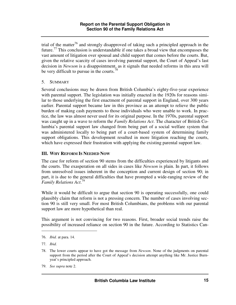trial of the matter<sup>76</sup> and strongly disapproved of taking such a principled approach in the future.<sup>77</sup> This conclusion is understandable if one takes a broad view that encompasses the vast amount of litigation over spousal and child support that comes before the courts. But, given the relative scarcity of cases involving parental support, the Court of Appeal's last decision in *Newson* is a disappointment, as it signals that needed reforms in this area will be very difficult to pursue in the courts.<sup>78</sup>

#### 5. SUMMARY

Several conclusions may be drawn from British Columbia's eighty-five-year experience with parental support. The legislation was initially enacted in the 1920s for reasons similar to those underlying the first enactment of parental support in England, over 300 years earlier. Parental support became law in this province as an attempt to relieve the public burden of making cash payments to those individuals who were unable to work. In practice, the law was almost never used for its original purpose. In the 1970s, parental support was caught up in a wave to reform the *Family Relations Act*. The character of British Columbia's parental support law changed from being part of a social welfare system that was administered locally to being part of a court-based system of determining family support obligations. This development resulted in more litigation reaching the courts, which have expressed their frustration with applying the existing parental support law.

# **III. WHY REFORM IS NEEDED NOW**

The case for reform of section 90 stems from the difficulties experienced by litigants and the courts. The exasperation on all sides in cases like *Newson* is plain. In part, it follows from unresolved issues inherent in the conception and current design of section 90; in part, it is due to the general difficulties that have prompted a wide-ranging review of the *Family Relations Act*. 79

While it would be difficult to argue that section 90 is operating successfully, one could plausibly claim that reform is not a pressing concern. The number of cases involving section 90 is still very small. For most British Columbians, the problems with our parental support law are more hypothetical than real.

This argument is not convincing for two reasons. First, broader social trends raise the possibility of increased reliance on section 90 in the future. According to Statistics Can-

<sup>76.</sup> *Ibid.* at para. 14.

<sup>77.</sup> *Ibid.* 

<sup>78.</sup> The lower courts appear to have got the message from *Newson*. None of the judgments on parental support from the period after the Court of Appeal's decision attempt anything like Mr. Justice Burnyeat's principled approach.

<sup>79.</sup> *See supra* note 2.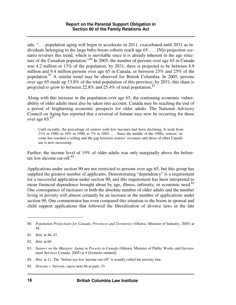ada, ". . . population aging will begin to accelerate in 2011, exacerbated until 2031 as individuals belonging to the large baby-boom cohorts reach age 65. . . . [N]o projection scenario reverses this trend, which is inevitable since it is already inherent in the age structure of the Canadian population."<sup>80</sup> In 2005, the number of persons over age 65 in Canada was 4.2 million or 13% of the population; by 2031, there is projected to be between 8.9 million and 9.4 million persons over age 65 in Canada, or between 23% and 25% of the population.<sup>81</sup> A similar trend may be observed for British Columbia. In 2005, persons over age 65 made up 13.8% of the total population of this province; by 2031, this share is projected to grow to between 22.8% and 25.4% of total population.<sup>82</sup>

Along with this increase in the population over age 65, the continuing economic vulnerability of older adults must also be taken into account. Canada may be reaching the end of a period of brightening economic prospects for older adults. The National Advisory Council on Aging has reported that a reversal of fortune may now be occurring for those over age  $65:83$ 

Until recently, the percentage of seniors with low incomes had been declining. It went from 21% in 1980, to 10% in 1990, to 7% in 2003. . . . Since the middle of the 1990s, seniors' income has reached a ceiling and the gap between seniors' revenues and those of other Canadians is now increasing.

Further, the income level of 19% of older adults was only marginally above the beforetax low income cut-off. $84$ 

Applications under section 90 are not restricted to persons over age 65, but this group has supplied the greatest number of applicants. Demonstrating "dependency" is a requirement for a successful application under section 90, and this requirement has been interpreted to mean financial dependence brought about by age, illness, infirmity, or economic need.<sup>85</sup> One consequence of increases in both the absolute number of older adults and the number living in poverty will almost certainly be an increase in the number of applications under section 90. One commentator has even compared this situation to the boom in spousal and child support applications that followed the liberalization of divorce laws in the late

- 84. *Ibid.* at 11. The "before-tax low income cut-off" is usually called the poverty line.
- 85. *Newson v. Newson*, *supra* note 66 at para. 33.

<sup>80.</sup> *Population Projections for Canada, Provinces and Territories* (Ottawa: Minister of Industry, 2005) at 44.

<sup>81.</sup> *Ibid.* at 46–47.

<sup>82.</sup> *Ibid.* at 60.

<sup>83.</sup> *Seniors on the Margins: Aging in Poverty in Canada* (Ottawa: Minister of Public Works and Government Services Canada, 2005) at 8 [footnote omitted].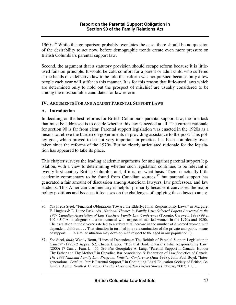1960s.<sup>86</sup> While this comparison probably overstates the case, there should be no question of the desirability to act now, before demographic trends create even more pressure on British Columbia's parental support law.

Second, the argument that a statutory provision should escape reform because it is littleused fails on principle. It would be cold comfort for a parent or adult child who suffered at the hands of a defective law to be told that reform was not pursued because only a few people each year will suffer in this manner. It is for this reason that little-used laws which are determined only to hold out the prospect of mischief are usually considered to be among the most suitable candidates for law reform.

### **IV. ARGUMENTS FOR AND AGAINST PARENTAL SUPPORT LAWS**

### **A. Introduction**

 $\overline{a}$ 

In deciding on the best reforms for British Columbia's parental support law, the first task that must be addressed is to decide whether this law is needed at all. The current rationale for section 90 is far from clear. Parental support legislation was enacted in the 1920s as a means to relieve the burden on governments in providing assistance to the poor. This policy goal, which proved to be not very important in practice, has been completely overtaken since the reforms of the 1970s. But no clearly articulated rationale for the legislation has appeared to take its place.

This chapter surveys the leading academic arguments for and against parental support legislation, with a view to determining whether such legislation continues to be relevant in twenty-first century British Columbia and, if it is, on what basis. There is actually little academic commentary to be found from Canadian sources,  $87$  but parental support has generated a fair amount of discussion among American lawyers, law professors, and law students. This American commentary is helpful primarily because it canvasses the major policy positions and because it focusses on the challenges of applying these laws to an ag-

<sup>86.</sup> *See* Freda Steel, "Financial Obligations Toward the Elderly: Filial Responsibility Laws," in Margaret E. Hughes & E. Diane Pask, eds., *National Themes in Family Law: Selected Papers Presented to the 1987 Canadian Association of Law Teachers Family Law Conference* (Toronto: Carswell, 1988) 99 at 102–03 ("An analogous situation occurred with respect to married women in the 1970s and 1980s. The escalation in the divorce rate led to a substantial increase in the number of divorced women with dependent children. . . . That situation in turn led to a re-examination of the private and public means of support. . . . A similar situation may develop with respect to the aged in our population.").

<sup>87.</sup> *See* Steel, *ibid.*; Wendy Bernt, "Lines of Dependence: The Rebirth of Parental Support Legislation in Canada" (1996) 2 Appeal 52; Christa Bracci, "Ties that Bind: Ontario's Filial Responsibility Law" (2000) 17 Can. J. Fam. L. 455. *See also* Georgialee A. Lang, "Parental Support in Canada: Honour Thy Father and Thy Mother," in Canadian Bar Association & Federation of Law Societies of Canada, *The 1998 National Family Law Program: Whistler Conference* (June 1998); John-Paul Boyd, "Intergenerational Conflict, Part I: Parental Support," in Continuing Legal Education Society of British Columbia, *Aging, Death & Divorce: The Big Three and The Perfect Storm* (February 2007) 1.1.1.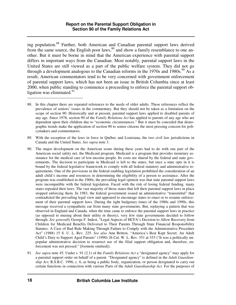ing population.<sup>88</sup> Further, both American and Canadian parental support laws derived from the same source, the English poor laws,  $89$  and show a family resemblance to one another. But it must be borne in mind that the American experience with parental support differs in important ways from the Canadian. Most notably, parental support laws in the United States are still viewed as a part of the public welfare system. They did not go through a development analogous to the Canadian reforms in the  $1970s$  and  $1980s$ .<sup>90</sup> As a result, American commentators tend to be very concerned with government enforcement of parental support laws, which has not been an issue in British Columbia since at least 2000, when public standing to commence a proceeding to enforce the parental support obligation was eliminated. $91$ 

- 90. The major development on the American scene during these years had to do with one part of the American social safety net, the Medicaid program. Medicaid is a program that provides monetary assistance for the medical care of low-income people. Its costs are shared by the federal and state governments. The decision to participate in Medicaid is left to the states, but once a state opts in it is bound by the federal legislative framework to comply with all federal statutory and administrative requirements. One of the provisions in the federal enabling legislation prohibited the consideration of an adult child's income and resources in determining the eligibility of a person to assistance. After the program was established in the 1960s, the prevailing legal opinion was that state parental support laws were incompatible with the federal legislation. Faced with the risk of losing federal funding, many states repealed their laws. The vast majority of those states that left their parental support laws in place stopped enforcing them. In 1983, the federal government issued an administrative "transmittal" that contradicted the prevailing legal view and appeared to encourage states to enact or to resume enforcement of their parental support laws. During the tight budgetary times of the 1980s and 1990s, this message received a sympathetic ear from many state governments. But, replaying a pattern that was observed in England and Canada, when the time came to enforce the parental support laws in practice (as opposed to musing about their utility in theory), very few state governments decided to follow through. *See generally* George F. Indest, "Legal Aspects of HCFA's Decision to Allow Recovery from Children for Medicaid Benefits Delivered to Their Parents Through State Financial Responsibility Statutes: A Case of Bad Rule Making Through Failure to Comply with the Administrative Procedure Act" (1988) 15 S. U. L. Rev. 225. *See also* Ann Britton, "America's Best Kept Secret: An Adult Child's Duty to Support Aged Parents" (1990) 26 Cal. W. L. Rev. 351 at 353 ("It was a politically unpopular administrative decision to resurrect use of the filial support obligation and, therefore, enforcement was not pressed." [footnote omitted]).
- 91. *See supra* note 45. Under s. 91 (2.1) of the *Family Relations Act* a "designated agency" may apply for a parental support order on behalf of a parent. "Designated agency" is defined in the *Adult Guardianship Act*, R.S.B.C. 1996, c. 6, as being a public body, organization, or person designated to carry out certain functions in connection with various Parts of the *Adult Guardianship Act*. For the purposes of

<sup>88.</sup> In this chapter there are repeated references to the needs of older adults. These references reflect the prevalence of seniors' issues in the commentary. But they should not be taken as a limitation on the scope of section 90. Historically and at present, parental support laws applied to disabled parents of any age. Since 1978, section 90 of the *Family Relations Act* has applied to parents of any age who are dependent upon their children due to "economic circumstances." But it must be conceded that demographic trends make the application of section 90 to senior citizens the most pressing concern for policymakers and commentators.

<sup>89.</sup> With the exception of the laws in force in Québec and Louisiana, the two civil law jurisdictions in Canada and the United States. *See supra* note 3.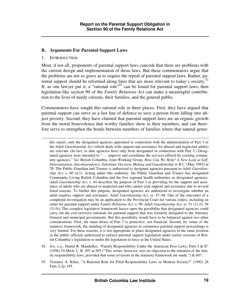### **B. Arguments For Parental Support Laws**

#### 1. INTRODUCTION

-

Most, if not all, proponents of parental support laws concede that there are problems with the current design and implementation of those laws. But these commentators argue that the problems are not so grave as to require the repeal of parental support laws. Rather, parental support should be reformed along lines that are more relevant to today's society.<sup>92</sup> If, as one lawyer put it, a "rational role"<sup>93</sup> can be found for parental support laws, then legislation like section 90 of the *Family Relations Act* can make a meaningful contribution to the lives of needy citizens, their families, and the general public.

Commentators have sought this rational role in three places. First, they have argued that parental support can serve as a last line of defence to save a person from falling into abject poverty. Second, they have claimed that parental support laws are an organic growth from the moral benevolence that worthy families show to their members, and can therefore serve to strengthen the bonds between members of families where that natural gener-

- 92. *See*, *e.g.*, Daniel R. Mandelker, "Family Responsibility Under the American Poor Laws: Parts I & II" (1956) 54 Mich. L. R. 497 at 505 ("This writer, however, sees no objection to the retention of the family responsibility laws, provided that some revisions in the statutory framework are made.")  $\& 607$ .
- 93. Terrance A. Kline, "A Rational Role for Filial Responsibility Laws in Modern Society?" (1992) 26 Fam. L.Q. 195.

this report, only the designated agencies appointed in connection with the administration of Part 3 of the *Adult Guardianship Act* (which deals with support and assistance for abused and neglected adults) are relevant. (In fact, to date agencies have only been designated in connection with Part 3.) Designated agencies were intended to "... improve and coordinate the services offered by existing community agencies." *See* British Columbia, Joint Working Group, *How Can We Help? A New Look at Self-Determination, Interdependence, Substitute Decision Making and Guardianship in B.C.* (May 1992) at 29. The Public Guardian and Trustee is authorized to designate agencies pursuant to *Adult Guardianship Act*, s. 60 (a.1). Acting under this authority, the Public Guardian and Trustee has designated Community Living British Columbia and the five regional health authorities as designated agencies. *Adult Guardianship Act*, s. 44 describes the purpose of Part 3 as providing for the support and assistance of adults who are abused or neglected and who cannot seek support and assistance due to several listed reasons. To further this purpose, designated agencies are authorized to investigate whether an adult requires support and assistance. *Adult Guardianship Act*, ss. 47–48. One of the outcomes of a completed investigation may be an application to the Provincial Court for various orders, including an order for parental support under *Family Relations Act*, s. 90. *Adult Guardianship Act*, ss. 51 (1) (f), 56 (3) (b). This complex legislative framework leaves open the possibility that designated agencies could carry out the cost-recovery rationale for parental support that was formerly delegated to the Attorney General and municipal governments. But this possibility would have to be balanced against two other considerations. First, the main thrust of Part 3 is protective, not financial. Second, by virtue of the statutory framework, the standing of designated agencies to commence parental support proceedings is very limited. For these reasons, it is not appropriate to place designated agencies in the same position as the public officials authorized to enforce parental support legislation under earlier versions of British Columbia's legislation or under the legislation in force in the United States.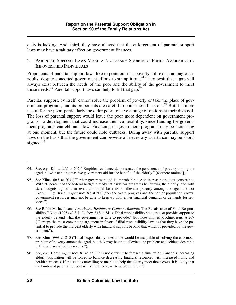osity is lacking. And, third, they have alleged that the enforcement of parental support laws may have a salutary effect on government finances.

2. PARENTAL SUPPORT LAWS MAKE A NECESSARY SOURCE OF FUNDS AVAILABLE TO IMPOVERISHED INDIVIDUALS

Proponents of parental support laws like to point out that poverty still exists among older adults, despite concerted government efforts to stamp it out.<sup>94</sup> They posit that a gap will always exist between the needs of the poor and the ability of the government to meet those needs.<sup>95</sup> Parental support laws can help to fill that gap.<sup>96</sup>

Parental support, by itself, cannot solve the problem of poverty or take the place of government programs, and its proponents are careful to point these facts out.<sup>97</sup> But it is more useful for the poor, particularly the older poor, to have a range of options at their disposal. The loss of parental support would leave the poor more dependent on government programs—a development that could increase their vulnerability, since funding for government programs can ebb and flow. Financing of government programs may be increasing at one moment, but the future could hold cutbacks. Doing away with parental support laws on the basis that the government can provide all necessary assistance may be shortsighted.<sup>98</sup>

<sup>94.</sup> *See*, *e.g.*, Kline, *ibid.* at 202 ("Empirical evidence demonstrates the persistence of poverty among the aged, notwithstanding massive government aid for the benefit of the elderly." [footnote omitted]).

<sup>95.</sup> *See* Kline, *ibid.* at 203 ("Further government aid is improbable due to increasing budget constraints. With 30 percent of the federal budget already set aside for programs benefitting the elderly, and with state budgets tighter than ever, additional benefits to alleviate poverty among the aged are not likely. . . ."); Bracci, *supra* note 87 at 500 ("As the years progress and the senior population grows, government resources may not be able to keep up with either financial demands or demands for services.").

<sup>96.</sup> *See* Robin M. Jacobson, "*Americana Healthcare Center v. Randall*: The Renaissance of Filial Responsibility," Note (1995) 40 S.D. L. Rev. 518 at 541 ("Filial responsibility statutes also provide support to the elderly beyond what the government is able to provide." [footnote omitted]); Kline, *ibid.* at 207 ("Perhaps the most convincing argument in favor of filial responsibility laws is that they have the potential to provide the indigent elderly with financial support beyond that which is provided by the government.").

<sup>97.</sup> *See* Kline, *ibid.* at 210 ("Filial responsibility laws alone would be incapable of solving the enormous problem of poverty among the aged, but they may begin to alleviate the problem and achieve desirable public and social policy results.").

<sup>98.</sup> *See*, *e.g.*, Bernt, *supra* note 87 at 57 ("It is not difficult to foresee a time when Canada's increasing elderly population will be forced to balance decreasing financial resources with increased living and health care costs. If the state is unwilling or unable to help the elderly meet those costs, it is likely that the burden of parental support will shift once again to adult children.").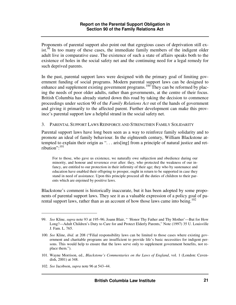Proponents of parental support also point out that egregious cases of deprivation still exist.<sup>99</sup> In too many of these cases, the immediate family members of the indigent older adult live in comparative ease. The existence of such a state of affairs speaks both to the existence of holes in the social safety net and the continuing need for a legal remedy for such deprived parents.

In the past, parental support laws were designed with the primary goal of limiting government funding of social programs. Modern parental support laws can be designed to enhance and supplement existing government programs.<sup>100</sup> They can be reformed by placing the needs of poor older adults, rather than governments, at the centre of their focus. British Columbia has already started down this road by taking the decision to commence proceedings under section 90 of the *Family Relations Act* out of the hands of government and giving it primarily to the affected parent. Further development can make this province's parental support law a helpful strand in the social safety net.

#### 3. PARENTAL SUPPORT LAWS REINFORCE AND STRENGTHEN FAMILY SOLIDARITY

Parental support laws have long been seen as a way to reinforce family solidarity and to promote an ideal of family behaviour. In the eighteenth century, William Blackstone attempted to explain their origin as ". . . aris[ing] from a principle of natural justice and retribution": $^{101}$ 

For to those, who gave us existence, we naturally owe subjection and obedience during our minority, and honour and reverence ever after: they, who protected the weakness of our infancy, are entitled to our protection in their infirmity of their age; they who by sustenance and education have enabled their offspring to prosper, ought in return to be supported in case they stand in need of assistance. Upon this principle proceed all the duties of children to their parents which are enjoined by positive laws.

Blackstone's comment is historically inaccurate, but it has been adopted by some proponents of parental support laws. They see it as a valuable expression of a policy goal of parental support laws, rather than as an account of how those laws came into being.<sup>102</sup>

<sup>99.</sup> *See* Kline, *supra* note 93 at 195–96; Joann Blair, " 'Honor Thy Father and Thy Mother'—But for How Long?—Adult Children's Duty to Care for and Protect Elderly Parents," Note (1997) 35 U. Louisville J. Fam. L. 765.

<sup>100.</sup> *See* Kline, *ibid.* at 208 ("Filial responsibility laws can be limited to those cases where existing government and charitable programs are insufficient to provide life's basic necessities for indigent persons. This would help to ensure that the laws serve only to supplement government benefits, not replace them.").

<sup>101.</sup> Wayne Morrison, ed., *Blackstone's Commentaries on the Laws of England*, vol. 1 (London: Cavendish, 2001) at 348.

<sup>102.</sup> *See* Jacobson, *supra* note 96 at 543–44.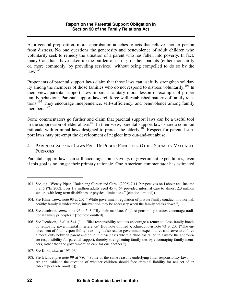As a general proposition, moral approbation attaches to acts that relieve another person from distress. No one questions the generosity and benevolence of adult children who voluntarily seek to remedy the situation of a parent who has fallen into poverty. In fact, many Canadians have taken up the burden of caring for their parents (either monetarily or, more commonly, by providing services), without being compelled to do so by the  $law.<sup>103</sup>$ 

Proponents of parental support laws claim that those laws can usefully strengthen solidarity among the members of those families who do not respond to distress voluntarily.<sup>104</sup> In their view, parental support laws impart a salutary moral lesson or example of proper family behaviour. Parental support laws reinforce well-established patterns of family relations.<sup>105</sup> They encourage independence, self-sufficiency, and benevolence among family members.<sup>106</sup>

Some commentators go further and claim that parental support laws can be a useful tool in the suppression of elder abuse.<sup>107</sup> In their view, parental support laws share a common rationale with criminal laws designed to protect the elderly.<sup>108</sup> Respect for parental support laws may pre-empt the development of neglect into out-and-out abuse.

4. PARENTAL SUPPORT LAWS FREE UP PUBLIC FUNDS FOR OTHER SOCIALLY VALUABLE PURPOSES

Parental support laws can still encourage some savings of government expenditures, even if this goal is no longer their primary rationale. One American commentator has estimated

<sup>103.</sup> *See*, *e.g.*, Wendy Piper, "Balancing Career and Care" (2006) 7.11 Perspectives on Labour and Income 5 at 5 ("In 2002, over 1.7 million adults aged 45 to 64 provided informal care to almost 2.3 million seniors with long term disabilities or physical limitations." [citation omitted]).

<sup>104.</sup> *See* Kline, *supra* note 93 at 207 ("While government regulation of private family conduct in a normal, healthy family is undesirable, intervention may be necessary when the family breaks down.").

<sup>105.</sup> *See* Jacobson, *supra* note 96 at 543 ("By their mandate, filial responsibility statutes encourage traditional family principles." [footnote omitted]).

<sup>106.</sup> *See* Jacobson, *ibid.* at 544 (". . . filial responsibility statutes encourage a return to close family bonds by removing governmental interference" [footnote omitted]); Kline, *supra* note 93 at 203 ("The enforcement of filial responsibility laws might also reduce government expenditures and serve to enforce a moral duty between parent and child in those cases where a child has failed to assume the appropriate responsibility for parental support, thereby strengthening family ties by encouraging family members, rather than the government, to care for one another.").

<sup>107.</sup> *See* Kline, *ibid.* at 195–96.

<sup>108.</sup> *See* Blair, *supra* note 99 at 780 ("Some of the same reasons underlying filial responsibility laws . . . are applicable to the question of whether children should face criminal liability for neglect of an elder." [footnote omitted]).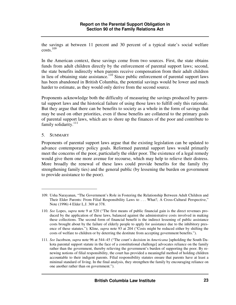the savings at between 11 percent and 30 percent of a typical state's social welfare costs.<sup>109</sup>

In the American context, these savings come from two sources. First, the state obtains funds from adult children directly by the enforcement of parental support laws; second, the state benefits indirectly when parents receive compensation from their adult children in lieu of obtaining state assistance.<sup>110</sup> Since public enforcement of parental support laws has been abandoned in British Columbia, the potential savings would be lower and much harder to estimate, as they would only derive from the second source.

Proponents acknowledge both the difficulty of measuring the savings produced by parental support laws and the historical failure of using those laws to fulfill only this rationale. But they argue that there can be benefits to society as a whole in the form of savings that may be used on other priorities, even if those benefits are collateral to the primary goals of parental support laws, which are to shore up the finances of the poor and contribute to family solidarity.<sup>111</sup>

5. SUMMARY

 $\overline{a}$ 

Proponents of parental support laws argue that the existing legislation can be updated to advance contemporary policy goals. Reformed parental support laws would primarily meet the concerns of the poor, particularly the older poor. The existence of a legal remedy would give them one more avenue for recourse, which may help to relieve their distress. More broadly the renewal of these laws could provide benefits for the family (by strengthening family ties) and the general public (by lessening the burden on government to provide assistance to the poor).

<sup>109.</sup> Usha Narayanan, "The Government's Role in Fostering the Relationship Between Adult Children and Their Elder Parents: From Filial Responsibility Laws to . . . What?, A Cross-Cultural Perspective," Note (1996) 4 Elder L.J. 369 at 378.

<sup>110.</sup> *See* Lopes, *supra* note 9 at 520 ("The first means of public financial gain is the direct revenues produced by the application of these laws, balanced against the administrative costs involved in making these collections. The second form of financial benefit is the indirect lessening of public assistance costs brought about by the failure of elderly people to apply for assistance due to the inhibitory presence of these statutes."); Kline, *supra* note 93 at 204 ("Costs might be reduced either by shifting the costs of welfare to children or by deterring the destitute from accepting government benefits.").

<sup>111.</sup> *See* Jacobson, *supra* note 96 at 544–45 ("The court's decision in *Americana* [upholding the South Dakota parental support statute in the face of a constitutional challenge] advocates reliance on the family rather than the government, thereby relieving the government's burden of supporting the poor. By renewing notions of filial responsibility, the court has provided a meaningful method of holding children accountable to their indigent parents. Filial responsibility statutes ensure that parents have at least a minimal standard of living. In the final analysis, they strengthen the family by encouraging reliance on one another rather than on government.").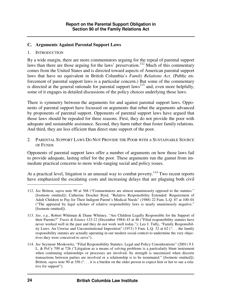### **C. Arguments Against Parental Support Laws**

#### 1. INTRODUCTION

By a wide margin, there are more commentators arguing for the repeal of parental support laws than there are those arguing for the laws' preservation.<sup>112</sup> Much of this commentary comes from the United States and is directed toward aspects of American parental support laws that have no equivalent in British Columbia's *Family Relations Act*. (Public enforcement of parental support laws is a particular concern.) But some of the commentary is directed at the general rationale for parental support laws<sup>113</sup> and, even more helpfully, some of it engages in detailed discussions of the policy choices underlying those laws.

There is symmetry between the arguments for and against parental support laws. Opponents of parental support have focussed on arguments that rebut the arguments advanced by proponents of parental support. Opponents of parental support laws have argued that those laws should be repealed for three reasons. First, they do not provide the poor with adequate and sustainable assistance. Second, they harm rather than foster family relations. And third, they are less efficient than direct state support of the poor.

2. PARENTAL SUPPORT LAWS DO NOT PROVIDE THE POOR WITH A SUSTAINABLE SOURCE OF FUNDS

Opponents of parental support laws offer a number of arguments on how those laws fail to provide adequate, lasting relief for the poor. These arguments run the gamut from immediate practical concerns to more wide-ranging social and policy issues.

At a practical level, litigation is an unusual way to combat poverty.<sup>114</sup> Two recent reports have emphasized the escalating costs and increasing delays that are plaguing both civil

<sup>112.</sup> *See* Britton, *supra* note 90 at 368 ("Commentators are almost unanimously opposed to the statutes." [footnote omitted]); Catherine Doscher Byrd, "Relative Responsibility Extended: Requirement of Adult Children to Pay for Their Indigent Parent's Medical Needs" (1988) 22 Fam. L.Q. 87 at 100–01 ("The appraisal by legal scholars of relative responsibility laws is nearly unanimously negative." [footnote omitted]).

<sup>113.</sup> *See*, *e.g.*, Robert Whitman & Diane Whitney, "Are Children Legally Responsible for the Support of their Parents?" *Trusts & Estates* 123:12 (December 1984) 43 at 46 ("Filial responsibility statutes have never worked well in the past and they do not work well today."); Leo J. Tully, "Family Responsibility Laws: An Unwise and Unconstitutional Imposition" (1971) 5 Fam. L.Q. 32 at 62 (". . . the family responsibility statutes are actually operating in our modern social context to undermine the very objectives they were conceived to serve").

<sup>114.</sup> *See* Seymour Moskowitz, "Filial Responsibility Statutes: Legal and Policy Considerations" (2001) 9 J. L. & Pol'y 709 at 726 ("Litigation as a means of solving problems is a particularly blunt instrument when continuing relationships or processes are involved. Its strength is maximized when discrete transactions between parties are involved or a relationship is to be terminated." [footnote omitted]); Britton, *supra* note 90 at 356 ("... it is a burden on the older person to expect him or her to sue a relative for support").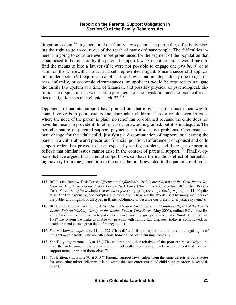litigation system<sup>115</sup> in general and the family law system<sup>116</sup> in particular, effectively placing the right to go to court out of the reach of many ordinary people. The difficulties inherent in going to court are even more pronounced for the segment of the population that is supposed to be assisted by the parental support law. A destitute parent would have to find the means to hire a lawyer (if it were not possible to engage one *pro bono*) or to summon the wherewithal to act as a self-represented litigant. Since a successful application under section 90 requires an applicant to show economic dependency due to age, illness, infirmity, or economic circumstances, an applicant would be required to navigate the family law system at a time of financial, and possibly physical or psychological, distress. The disjunction between the requirements of the legislation and the practical realities of litigation sets up a classic catch-22. $^{117}$ 

Opponents of parental support have pointed out that most cases that make their way to court involve both poor parents and poor adult children.<sup>118</sup> As a result, even in cases where the need of the parent is plain, no relief can be obtained because the child does not have the means to provide it. In other cases, an award is granted, but it is inadequate. The periodic nature of parental support payments can also cause problems. Circumstances may change for the adult child, justifying a discontinuation of support, but leaving the parent in a vulnerable and precarious financial position. Enforcement of spousal and child support orders has proved to be an especially vexing problem, and there is no reason to believe that similar issues cannot arise in the context of parental support.<sup>119</sup> Finally, opponents have argued that parental support laws can have the insidious effect of perpetuating poverty from one generation to the next: the funds awarded to the parent are often in-

<sup>115.</sup> BC Justice Review Task Force, *Effective and Affordable Civil Justice: Report of the Civil Justice Reform Working Group to the Justice Review Task Force* (November 2006), online: BC Justice Review Task Force <http://www.bcjusticereview.org/working\_groups/civil\_justice/cjrwg\_report\_11\_06.pdf> at vii (" 'Too expensive, too complex and too slow.' These are the words used by many members of the public and litigants of all types in British Columbia to describe our present civil justice system.").

<sup>116.</sup> BC Justice Review Task Force, *A New Justice System for Families and Children: Report of the Family Justice Reform Working Group to the Justice Review Task Force* (May 2005), online: BC Justice Review Task Force <http://www.bcjusticereview.org/working\_groups/family\_justice/final\_05\_05.pdf> at 10 ("The system we make available to [persons with family law disputes] today is complicated, intimidating and costs a great deal of money. . . .").

<sup>117.</sup> *See* Moskowitz, *supra* note 114 at 727 ("It is difficult if not impossible to enforce the legal rights of indigent aged parents, who are often frail, homebound, or in nursing homes.").

<sup>118.</sup> *See* Tully, *supra* note 113 at 42 ("The children and other relatives of the poor are most likely to be poor themselves—and relatives who are not officially 'poor' are apt to be so close to it that they can support none other than themselves.").

<sup>119.</sup> *See* Britton, *supra* note 90 at 370 ("[Parental support laws] suffer from the same defects as our statutes for supporting minor children; it is no secret that our enforcement of child support orders is scandalous.").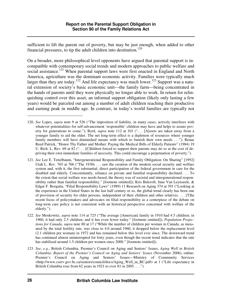sufficient to lift the parent out of poverty, but may be just enough, when added to other financial pressures, to tip the adult children into destitution.<sup>120</sup>

On a broader, more philosophical level opponents have argued that parental support is incompatible with contemporary social trends and modern approaches to public welfare and social assistance.<sup>121</sup> When parental support laws were first enacted in England and North America, agriculture was the dominant economic activity. Families were typically much larger than they are today.<sup>122</sup> And life expectancy was much lower.<sup>123</sup> Support was a natural extension of society's basic economic unit—the family farm—being concentrated in the hands of parents until they were physically no longer able to work. In return for relinquishing control over this asset, an informal support obligation (likely only lasting a few years) would be parceled out among a number of adult children reaching their productive and earning peak in middle age. In contrast, in today's world families are typically not

<sup>120.</sup> *See* Lopes, *supra* note 9 at 526 ("The imposition of liability, in many cases, actively interferes with whatever potentialities for self-advancement 'responsible' children may have and helps to assure poverty for generations to come."); Byrd, *supra* note 112 at 101 (". . . [A]ssets are taken away from a younger family to aid the older. The net long-term effect is a depletion of resources where younger family members will have diminished means with which to furnish their own needs. . . ."); Renae Reed Patrick, "Honor Thy Father and Mother: Paying the Medical Bills of Elderly Patients" (1984) 19 U. Rich. L. Rev. 69 at 82  $($ "... [C]hildren forced to support their parents may do so at the cost of depriving their own immediate families of necessity. This could encourage a perpetuation of poverty.").

<sup>121.</sup> *See* Lee E. Teitelbaum, "Intergenerational Responsibility and Family Obligation: On Sharing" [1992] Utah L. Rev. 765 at 766 ("The 1930s . . . saw the creation of the modern social security and welfare system and, with it, the first substantial, direct participation of the federal government in care for the disabled and elderly. Concomitantly, reliance on private and familial responsibility declined. . . . To the extent that social welfare was needs-based, the theory was of societal and intergenerational responsibility rather than familial responsibility." [footnote omitted]); Kris Bulcroft, June Van Leynseele, & Edgar F. Borgatta, "Filial Responsibility Laws" (1989) 11 Research on Aging 374 at 391 ("Looking at the experience in the United States in the last half century or so, the global trend clearly has been one of provision of security for older persons, independent of their children and other relatives. . . . [T]he recent focus of policymakers and advocates on filial responsibility as a centerpiece of the debate on long-term care policy is not consistent with an historical perspective concerned with welfare of the elderly.").

<sup>122.</sup> *See* Moskowitz, *supra* note 114 at 725 ("The average [American] family in 1910 had 4.5 children; in 1960, it had only 2.5 children, and it has even fewer today." [footnote omitted]); *Population Projections for Canada*, *supra* note 80 at 17 ("While the number of children per woman in Canada, as measured by the total fertility rate, was close to 4.0 around 1960, it dropped below the replacement level (2.1 children per woman) in 1972 and has remained below this level ever since. The downward trend has continued almost uninterrupted for forty years, even though the recent trend indicates that the rate has stabilized around 1.5 children per women since 2000." [footnote omitted]).

<sup>123.</sup> *See*, *e.g.*, British Columbia, Premier's Council on Aging and Seniors' Issues, *Aging Well in British Columbia: Report of the Premier's Council on Aging and Seniors' Issues* (November 2006), online: Premier's Council on Aging and Seniors' Issues—Ministry of Community Services <http://www.cserv.gov.bc.ca/seniors/council/docs/Aging\_Well\_in\_BC.pdf> at 1 ("Life expectancy in British Columbia rose from 62 years in 1921 to over 81 in 2005....").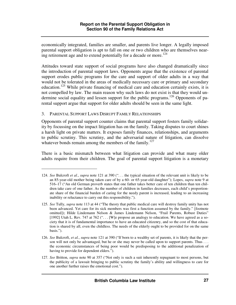economically integrated, families are smaller, and parents live longer. A legally imposed parental support obligation is apt to fall on one or two children who are themselves nearing retirement age and to extend potentially for a decade or more.<sup>124</sup>

Attitudes toward state support of social programs have also changed dramatically since the introduction of parental support laws. Opponents argue that the existence of parental support erodes public programs for the care and support of older adults in a way that would not be tolerated in the areas of medically necessary care or primary and secondary education.<sup>125</sup> While private financing of medical care and education certainly exists, it is not compelled by law. The main reason why such laws do not exist is that they would undermine social equality and lessen support for the public programs.<sup>126</sup> Opponents of parental support argue that support for older adults should be seen in the same light.

#### 3. PARENTAL SUPPORT LAWS DISRUPT FAMILY RELATIONSHIPS

 $\overline{a}$ 

Opponents of parental support counter claims that parental support fosters family solidarity by focussing on the impact litigation has on the family. Taking disputes to court shines a harsh light on private matters. It exposes family finances, relationships, and arguments to public scrutiny. This scrutiny, and the adversarial nature of litigation, can dissolve whatever bonds remain among the members of the family.<sup>127</sup>

There is a basic mismatch between what litigation can provide and what many older adults require from their children. The goal of parental support litigation is a monetary

<sup>124.</sup> *See* Bulcroft *et al.*, *supra* note 121 at 390 (". . . the typical situation of the relevant unit is likely to be an 85-year-old mother being taken care of by a 60- or 65-year-old daughter"); Lopes, *supra* note 9 at 516–17 ("An old German proverb states that one father takes better care of ten children than ten children take care of one father. As the number of children in families decreases, each child's proportionate share of the financial burden of caring for the needy parent is increased, leading to an increasing inability or reluctance to carry out this responsibility.").

<sup>125.</sup> *See* Tully, *supra* note 113 at 44 ("The theory that public medical care will destroy family unity has not been advanced. Yet care for its sick members was first a function assumed by the family." [footnote omitted]); Hilde Lindemann Nelson & James Lindemann Nelson, "Frail Parents, Robust Duties" [1992] Utah L. Rev. 747 at 762 (". . . [W]e propose an analogy to education. We have agreed as a society that it is of fundamental importance to have an educated citizenry, and so the cost of that education is shared by all, even the childless. The needs of the elderly ought to be provided for on the same basis.").

<sup>126.</sup> *See* Bulcroft, *et al.*, *supra* note 121 at 390 ("If born to a wealthy set of parents, it is likely that the person will not only be advantaged, but he or she may never be called upon to support parents. Thus . . . the economic circumstances of being poor would be predisposing to the additional penalization of having to provide for dependent elders.").

<sup>127.</sup> *See* Britton, *supra* note 90 at 357 ("Not only is such a suit inherently repugnant to most persons, but the publicity of a lawsuit bringing to public scrutiny the family's ability and willingness to care for one another further raises the emotional cost.").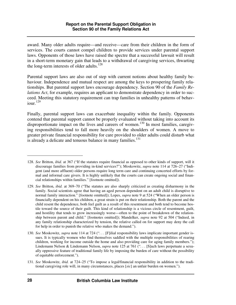award. Many older adults require—and receive—care from their children in the form of services. The courts cannot compel children to provide services under parental support laws. Opponents of those laws have raised the spectre that a successful lawsuit will result in a short-term monetary gain that leads to a withdrawal of caregiving services, thwarting the long-term interests of older adults. $128$ 

Parental support laws are also out of step with current notions about healthy family behaviour. Independence and mutual respect are among the keys to prospering family relationships. But parental support laws encourage dependency. Section 90 of the *Family Relations Act*, for example, requires an applicant to demonstrate dependency in order to succeed. Meeting this statutory requirement can trap families in unhealthy patterns of behav $i$ our.<sup>129</sup>

Finally, parental support laws can exacerbate inequality within the family. Opponents contend that parental support cannot be properly evaluated without taking into account its disproportionate impact on the lives and careers of women.<sup>130</sup> In most families, caregiving responsibilities tend to fall more heavily on the shoulders of women. A move to greater private financial responsibility for care provided to older adults could disturb what is already a delicate and tenuous balance in many families.<sup>131</sup>

<sup>128.</sup> *See* Britton, *ibid.* at 367 ("If the statutes require financial as opposed to other kinds of support, will it discourage families from providing in-kind services?"); Moskowitz, *supra* note 114 at 726–27 ("Indigent (and more affluent) older persons require long term care and continuing concerted efforts by formal and informal care givers. It is highly unlikely that the courts can create ongoing social and financial relationships within families." [footnote omitted]).

<sup>129.</sup> *See* Britton, *ibid.* at 369–70 ("The statutes are also sharply criticized as creating disharmony in the family. Social scientists agree that having an aged person dependent on an adult child is disruptive to normal family interaction." [footnote omitted]); Lopes, *supra* note 9 at 524 ("When an older person is financially dependent on his children, a great strain is put on their relationship. Both the parent and the child resent the dependence, both feel guilt as a result of this resentment and both tend to become hostile toward the source of their guilt. This kind of relationship is a vicious circle of resentment, guilt, and hostility that tends to grow increasingly worse—often to the point of breakdown of the relationship between parent and child." [footnotes omitted]); Mandelker, *supra* note 92 at 504 ("Indeed, in any family relationship characterized by tension, the relative called on for support may deny the call for help in order to punish the relative who makes the demand.").

<sup>130.</sup> *See* Moskowitz, *supra* note 114 at 724 (". . . [F]ilial responsibility laws implicate important gender issues. It is typically women who find themselves saddled with the multiple responsibilities of rearing children, working for income outside the home and also providing care for aging family members."); Lindemann Nelson & Lindemann Nelson, *supra* note 125 at 761 (". . . [S]uch laws perpetuate a sexually oppressive feature of traditional family life by imposing the burden of care without the possibility of equitable enforcement.").

<sup>131.</sup> *See* Moskowitz, *ibid.* at 724–25 ("To impose a legal/financial responsibility in addition to the traditional caregiving role will, in many circumstances, places [*sic*] an unfair burden on women.").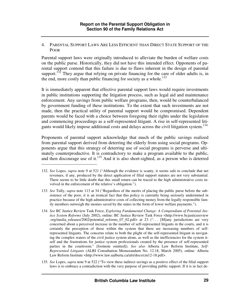4. PARENTAL SUPPORT LAWS ARE LESS EFFICIENT THAN DIRECT STATE SUPPORT OF THE POOR

Parental support laws were originally introduced to alleviate the burden of welfare costs on the public purse. Historically, they did not have this intended effect. Opponents of parental support contend that this failure is due to flaws inherent in the design of parental support.<sup>132</sup> They argue that relying on private financing for the care of older adults is, in the end, more costly than public financing for society as a whole.<sup>133</sup>

It is immediately apparent that effective parental support laws would require investments in public institutions supporting the litigation process, such as legal aid and maintenance enforcement. Any savings from public welfare programs, then, would be counterbalanced by government funding of these institutions. To the extent that such investments are not made, then the practical utility of parental support would be compromised. Dependent parents would be faced with a choice between foregoing their rights under the legislation and commencing proceedings as a self-represented litigant. A rise in self-represented litigants would likely impose additional costs and delays across the civil litigation system.<sup>134</sup>

Proponents of parental support acknowledge that much of the public savings realized from parental support derived from deterring the elderly from using social programs. Opponents argue that this strategy of deterring use of social programs is perverse and ultimately counterproductive. It is contradictory to make a program available to the public, and then discourage use of it.<sup>135</sup> And it is also short-sighted, as a person who is deterred

- 133. *See* Tully, *supra* note 113 at 34 ("Regardless of the merits of placing the public purse before the subsistence of the poor, it is an ironical fact that this policy is currently being seriously undermined in practice because of the high administrative costs of collecting money from the legally responsible family members outweigh the monies saved by the states in the form of lower welfare payments.").
- 134. *See* BC Justice Review Task Force, *Exploring Fundamental Change: A Compendium of Potential Justice System Reforms* (July 2002), online: BC Justice Review Task Force <http://www.bcjusticereview .org/media\_releases/2002/potential\_reforms\_07\_02.pdf> at 23 (". . . [M]any jurisdictions are very concerned about a perceived increase in the number of self-represented litigants in the courts, and it is certainly the perception of those within the system that there are increasing numbers of selfrepresented litigants. The concerns relate to both the plight of the self-represented litigant in navigating the complex waters of the civil justice system alone, as well as the inefficiencies for the system itself and the frustrations for justice system professionals created by the presence of self-represented parties in the courtroom." [footnote omitted]). *See also* Alberta Law Reform Institute, *Self-Represented Litigants* (ALRI Consultation Memorandum No. 12.18, March 2005), online: Alberta Law Reform Institute <http://www.law.ualberta.ca/alri/docs/cm12-18.pdf>.
- 135. *See* Lopes, *supra* note 9 at 522 ("To view these indirect savings as a positive effect of the filial support laws is to embrace a contradiction with the very purpose of providing public support. If it is in fact de-

<sup>132.</sup> *See* Lopes, *supra* note 9 at 521 ("Although the evidence is scanty, it seems safe to conclude that net revenues, if any, produced by the direct application of filial support statutes are not very substantial. There seems to be little doubt that this small return can be traced to the high administrative costs involved in the enforcement of the relative's obligation.").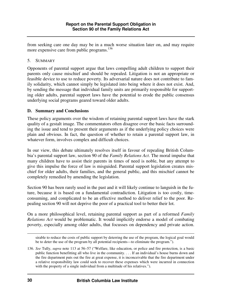from seeking care one day may be in a much worse situation later on, and may require more expensive care from public programs.<sup>136</sup>

## 5. SUMMARY

Opponents of parental support argue that laws compelling adult children to support their parents only cause mischief and should be repealed. Litigation is not an appropriate or feasible device to use to reduce poverty. Its adversarial nature does not contribute to family solidarity, which cannot simply be legislated into being where it does not exist. And, by sending the message that individual family units are primarily responsible for supporting older adults, parental support laws have the potential to erode the public consensus underlying social programs geared toward older adults.

### **D. Summary and Conclusions**

These policy arguments over the wisdom of retaining parental support laws have the stark quality of a gestalt image. The commentators often disagree over the basic facts surrounding the issue and tend to present their arguments as if the underlying policy choices were plain and obvious. In fact, the question of whether to retain a parental support law, in whatever form, involves complex and difficult choices.

In our view, this debate ultimately resolves itself in favour of repealing British Columbia's parental support law, section 90 of the *Family Relations Act*. The moral impulse that many children have to assist their parents in times of need is noble, but any attempt to give this impulse the force of law is misguided. Parental support legislation creates mischief for older adults, their families, and the general public, and this mischief cannot be completely remedied by amending the legislation.

Section 90 has been rarely used in the past and it will likely continue to languish in the future, because it is based on a fundamental contradiction. Litigation is too costly, timeconsuming, and complicated to be an effective method to deliver relief to the poor. Repealing section 90 will not deprive the poor of a practical tool to better their lot.

On a more philosophical level, retaining parental support as part of a reformed *Family Relations Act* would be problematic. It would implicitly endorse a model of combating poverty, especially among older adults, that focusses on dependency and private action.

sirable to reduce the costs of public support by deterring the use of the program, the logical goal would be to deter the use of the program by all potential recipients—to eliminate the program.").

<sup>136.</sup> *See* Tully, *supra* note 113 at 56–57 ("Welfare, like education, or police and fire protection, is a basic public function benefitting all who live in the community. . . . If an individual's house burns down and the fire department puts out the fire at great expense, it is inconceivable that the fire department under a relative responsibility law could seek to recover these expenses which were incurred in connection with the property of a single individual from a multitude of his relatives.").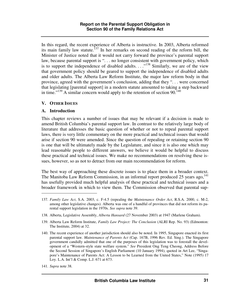In this regard, the recent experience of Alberta is instructive. In 2003, Alberta reformed its main family law statute.<sup>137</sup> In her remarks on second reading of the reform bill, the Minister of Justice noted that it would not carry forward the province's parental support law, because parental support is "... no longer consistent with government policy, which is to support the independence of disabled adults.  $\ldots$ <sup>138</sup> Similarly, we are of the view that government policy should be geared to support the independence of disabled adults and older adults. The Alberta Law Reform Institute, the major law reform body in that province, agreed with the government's conclusion, adding that they ". . . were concerned that legislating [parental support] in a modern statute amounted to taking a step backward in time."<sup>139</sup> A similar concern would apply to the retention of section  $90$ .<sup>140</sup>

#### **V. OTHER ISSUES**

#### **A. Introduction**

This chapter reviews a number of issues that may be relevant if a decision is made to amend British Columbia's parental support law. In contrast to the relatively large body of literature that addresses the basic question of whether or not to repeal parental support laws, there is very little commentary on the more practical and technical issues that would arise if section 90 were amended. Since the question of repealing or retaining section 90 is one that will be ultimately made by the Legislature, and since it is also one which may lead reasonable people to different answers, we believe it would be helpful to discuss these practical and technical issues. We make no recommendations on resolving these issues, however, so as not to detract from our main recommendation for reform.

The best way of approaching these discrete issues is to place them in a broader context. The Manitoba Law Reform Commission, in an informal report produced 25 years ago,<sup>141</sup> has usefully provided much helpful analysis of these practical and technical issues and a broader framework in which to view them. The Commission observed that parental sup-

<sup>137.</sup> *Family Law Act*, S.A. 2003, c. F-4.5 (repealing the *Maintenance Order Act*, R.S.A. 2000, c. M-2, among other legislative changes). Alberta was one of a handful of provinces that did not reform its parental support legislation in the 1970s. *See supra* note 39.

<sup>138.</sup> Alberta, Legislative Assembly, *Alberta Hansard* (27 November 2003) at 1947 (Marlene Graham).

<sup>139.</sup> Alberta Law Reform Institute, *Family Law Project: The Conclusion* (ALRI Rep. No. 93) (Edmonton: The Institute, 2004) at 32.

<sup>140.</sup> The recent experience of another jurisdiction should also be noted. In 1995, Singapore enacted its first parental support law. *Maintenance of Parents Act* (Cap. 167B, 1996 Rev. Ed. Sing.). The Singapore government candidly admitted that one of the purposes of this legislation was to forestall the development of a "Western-style state welfare system." *See* President Ong Teng Cheong, Address Before the Second Session of Singapore's English Parliament (10 January 1994), quoted in Art Lee, "Singapore's Maintenance of Parents Act: A Lesson to be Learned from the United States," Note (1995) 17 Loy. L.A. Int'l & Comp. L.J. 671 at 673.

<sup>141.</sup> *Supra* note 38.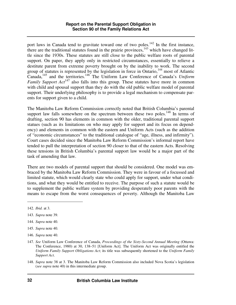port laws in Canada tend to gravitate toward one of two poles.<sup>142</sup> In the first instance, there are the traditional statutes found in the prairie provinces, $143$  which have changed little since the 1930s. These statutes are still close to the public welfare roots of parental support. On paper, they apply only in restricted circumstances, essentially to relieve a destitute parent from extreme poverty brought on by the inability to work. The second group of statutes is represented by the legislation in force in Ontario,<sup>144</sup> most of Atlantic Canada,<sup>145</sup> and the territories.<sup>146</sup> The Uniform Law Conference of Canada's *Uniform Family Support Act*<sup>147</sup> also falls into this group. These statutes have more in common with child and spousal support than they do with the old public welfare model of parental support. Their underlying philosophy is to provide a legal mechanism to compensate parents for support given to a child.

The Manitoba Law Reform Commission correctly noted that British Columbia's parental support law falls somewhere on the spectrum between these two poles.<sup>148</sup> In terms of drafting, section 90 has elements in common with the older, traditional parental support statues (such as its limitations on who may apply for support and its focus on dependency) and elements in common with the eastern and Uniform Acts (such as the addition of "economic circumstances" to the traditional catalogue of "age, illness, and infirmity"). Court cases decided since the Manitoba Law Reform Commission's informal report have tended to pull the interpretation of section 90 closer to that of the eastern Acts. Resolving these tensions in British Columbia's parental support law would be a major part of the task of amending that law.

There are two models of parental support that should be considered. One model was embraced by the Manitoba Law Reform Commission. They were in favour of a focussed and limited statute, which would clearly state who could apply for support, under what conditions, and what they would be entitled to receive. The purpose of such a statute would be to supplement the public welfare system by providing desperately poor parents with the means to escape from the worst consequences of poverty. Although the Manitoba Law

- 144. *Supra* note 40.
- 145. *Supra* note 40.
- 146. *Supra* note 40.
- 147. *See* Uniform Law Conference of Canada, *Proceedings of the Sixty-Second Annual Meeting* (Ottawa: The Conference, 1980) at 30, 138–51 [Uniform Act]. The Uniform Act was originally entitled the *Uniform Family Support Obligations Act*; its title was subsequently shortened to the *Uniform Family Support Act*.
- 148. *Supra* note 38 at 3. The Manitoba Law Reform Commission also included Nova Scotia's legislation (*see supra* note 40) in this intermediate group.

<sup>142.</sup> *Ibid.* at 3.

<sup>143.</sup> *Supra* note 39.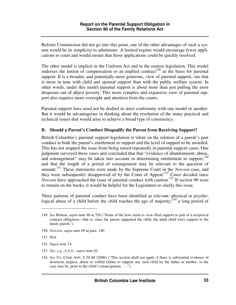Reform Commission did not go into this point, one of the other advantages of such a system would be its simplicity to administer. A limited regime would encourage fewer applications to court and would ensure that those applications could be quickly resolved.

The other model is implicit in the Uniform Act and in the eastern legislation. This model endorses the notion of compensation or an implied contract<sup>149</sup> as the basis for parental support. It is a broader, and potentially more generous, view of parental support, one that is more in tune with child and spousal support than with the public welfare system. In other words, under this model parental support is about more than just pulling the most desperate out of abject poverty. This more complex and expansive view of parental support also requires more oversight and attention from the courts.

Parental support laws need not be drafted in strict conformity with one model or another. But it would be advantageous in thinking about the resolution of the many practical and technical issues that would arise to achieve a broad type of consistency.

#### **B. Should a Parent's Conduct Disqualify the Parent from Receiving Support?**

British Columbia's parental support legislation is silent on the relation of a parent's past conduct to both the parent's entitlement to support and the level of support to be awarded. This has not stopped the issue from being raised repeatedly in parental support cases. One judgment surveyed these cases and concluded that that "evidence of abandonment, abuse, and estrangement" may be taken into account in determining entitlement to support,<sup>150</sup> and that the length of a period of estrangement may be relevant to the question of amount.<sup>151</sup> These statements were made by the Supreme Court in the *Newson* case, and they were subsequently disapproved of by the Court of Appeal.<sup>152</sup> Cases decided since *Newson* have approached the issue of parental conduct with caution.<sup>153</sup> If section 90 were to remain on the books, it would be helpful for the Legislature to clarify this issue.

Three patterns of parental conduct have been identified as relevant: physical or psychological abuse of a child before the child reaches the age of majority;<sup>154</sup> a long period of

- 153. *See*, *e.g.*, *S.A.G.*, *supra* note 62.
- 154. *See* VA. CODE ANN. § 20-88 (2006) ("This section shall not apply if there is substantial evidence of desertion, neglect, abuse or willful failure to support any such child by the father or mother, as the case may be, prior to the child's emancipation. . . .").

<sup>149.</sup> *See* Britton, *supra* note 90 at 356 ("Some of the laws seem to view filial support as part of a reciprocal contract obligation—that is, since the parent supported the child, the adult child owes support to the needy parent.").

<sup>150.</sup> *Newson*, *supra* note 69 at para. 140.

<sup>151.</sup> *Ibid.* 

<sup>152.</sup> *Supra* note 74.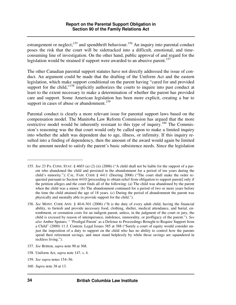estrangement or neglect; $^{155}$  and spendthrift behaviour.<sup>156</sup> An inquiry into parental conduct poses the risk that the court will be sidetracked into a difficult, emotional, and timeconsuming line of investigation. On the other hand, public approval of and regard for the legislation would be strained if support were awarded to an abusive parent.<sup>157</sup>

The other Canadian parental support statutes have not directly addressed the issue of conduct. An argument could be made that the drafting of the Uniform Act and the eastern legislation, which make support conditional on the parent having "cared for and provided support for the child, $\frac{158}{10}$  implicitly authorizes the courts to inquire into past conduct at least to the extent necessary to make a determination of whether the parent has provided care and support. Some American legislation has been more explicit, creating a bar to support in cases of abuse or abandonment.<sup>159</sup>

Parental conduct is clearly a more relevant issue for parental support laws based on the compensation model. The Manitoba Law Reform Commission has argued that the more restrictive model would be inherently resistant to this type of inquiry.<sup>160</sup> The Commission's reasoning was the that court would only be called upon to make a limited inquiry into whether the adult was dependent due to age, illness, or infirmity. If this inquiry resulted into a finding of dependency, then the amount of the award would again be limited to the amount needed to satisfy the parent's basic subsistence needs. Since the legislation

- 158. Uniform Act, *supra* note 147, s. 4.
- 159. *See supra* notes 154–56.

<sup>155.</sup> *See* 23 PA. CONS. STAT. § 4603 (a) (2) (ii) (2006) ("A child shall not be liable for the support of a parent who abandoned the child and persisted in the abandonment for a period of ten years during the child's minority."); CAL. FAM. CODE § 4411 (Deering 2006) ("The court shall make the order requested pursuant to Section 4410 [proceeding to obtain relief from obligation to support parent] only if the petition alleges and the court finds all of the following: (a) The child was abandoned by the parent when the child was a minor. (b) The abandonment continued for a period of two or more years before the time the child attained the age of 18 years. (c) During the period of abandonment the parent was physically and mentally able to provide support for the child.").

<sup>156.</sup> *See* MONT. CODE ANN. § 40-6-301 (2006) ("It is the duty of every adult child, having the financial ability, to furnish and provide necessary food, clothing, shelter, medical attendance, and burial, entombment, or cremation costs for an indigent parent, unless, in the judgment of the court or jury, the child is excused by reason of intemperance, indolence, immorality, or profligacy of the parent."). *See also* Amber Spataro, " 'Prodigal Parent' as a Defense to Proceedings Brought to Require Support from a Child" (2000) 11 J. Contem. Legal Issues 385 at 388 ("Surely a court of equity would consider unjust the imposition of a duty to support on the child who has no ability to control how the parents spend their retirement savings, and must stand helplessly by while those savings are squandered in reckless living.").

<sup>157.</sup> *See* Britton, *supra* note 90 at 368.

<sup>160.</sup> *Supra* note 38 at 13.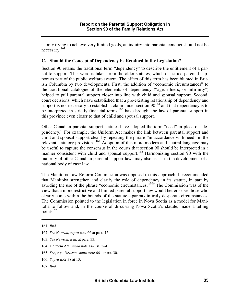is only trying to achieve very limited goals, an inquiry into parental conduct should not be necessary.<sup>161</sup>

### **C. Should the Concept of Dependency be Retained in the Legislation?**

Section 90 retains the traditional term "dependency" to describe the entitlement of a parent to support. This word is taken from the older statutes, which classified parental support as part of the public welfare system. The effect of this term has been blunted in British Columbia by two developments. First, the addition of "economic circumstances" to the traditional catalogue of the elements of dependency ("age, illness, or infirmity") helped to pull parental support closer into line with child and spousal support. Second, court decisions, which have established that a pre-existing relationship of dependency and support is not necessary to establish a claim under section  $90^{162}$  and that dependency is to be interpreted in strictly financial terms,<sup>163</sup> have brought the law of parental support in this province even closer to that of child and spousal support.

Other Canadian parental support statutes have adopted the term "need" in place of "dependency." For example, the Uniform Act makes the link between parental support and child and spousal support clear by repeating the phrase "in accordance with need" in the relevant statutory provisions.<sup>164</sup> Adoption of this more modern and neutral language may be useful to capture the consensus in the courts that section 90 should be interpreted in a manner consistent with child and spousal support.<sup>165</sup> Harmonizing section 90 with the majority of other Canadian parental support laws may also assist in the development of a national body of case law.

The Manitoba Law Reform Commission was opposed to this approach. It recommended that Manitoba strengthen and clarify the role of dependency in its statute, in part by avoiding the use of the phrase "economic circumstances."<sup>166</sup> The Commission was of the view that a more restrictive and limited parental support law would better serve those who clearly come within the bounds of the statute—parents in truly desperate circumstances. The Commission pointed to the legislation in force in Nova Scotia as a model for Manitoba to follow and, in the course of discussing Nova Scotia's statute, made a telling point: $^{167}$ 

 $\overline{a}$ 

167. *Ibid.* 

<sup>161.</sup> *Ibid.* 

<sup>162.</sup> *See Newson*, *supra* note 66 at para. 15.

<sup>163.</sup> *See Newson*, *ibid.* at para. 33.

<sup>164.</sup> Uniform Act, *supra* note 147, ss. 2–4.

<sup>165.</sup> *See*, *e.g.*, *Newson*, *supra* note 66 at para. 30.

<sup>166.</sup> *Supra* note 38 at 13.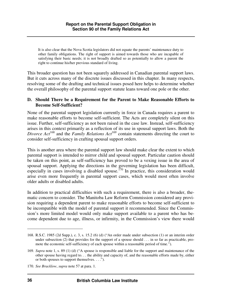It is also clear that the Nova Scotia legislators did not equate the parents' maintenance duty to other family obligations. The right of support is aimed towards those who are incapable of satisfying their basic needs; it is not broadly drafted so as potentially to allow a parent the right to continue his/her previous standard of living.

This broader question has not been squarely addressed in Canadian parental support laws. But it cuts across many of the discrete issues discussed in this chapter. In many respects, resolving some of the drafting and technical issues posed here helps to determine whether the overall philosophy of the parental support statute leans toward one pole or the other.

#### **D. Should There be a Requirement for the Parent to Make Reasonable Efforts to Become Self-Sufficient?**

None of the parental support legislation currently in force in Canada requires a parent to make reasonable efforts to become self-sufficient. The Acts are completely silent on this issue. Further, self-sufficiency as not been raised in the case law. Instead, self-sufficiency arises in this context primarily as a reflection of its use in spousal support laws. Both the *Divorce Act*<sup>168</sup> and the *Family Relations Act*<sup>169</sup> contain statements directing the court to consider self-sufficiency in crafting spousal support orders.

This is another area where the parental support law should make clear the extent to which parental support is intended to mirror child and spousal support. Particular caution should be taken on this point, as self-sufficiency has proved to be a vexing issue in the area of spousal support. Applying the directions in the governing legislation has been difficult, especially in cases involving a disabled spouse.<sup>170</sup> In practice, this consideration would arise even more frequently in parental support cases, which would most often involve older adults or disabled adults.

In addition to practical difficulties with such a requirement, there is also a broader, thematic concern to consider. The Manitoba Law Reform Commission considered any provision requiring a dependent parent to make reasonable efforts to become self-sufficient to be incompatible with the model of parental support it recommended. Since the Commission's more limited model would only make support available to a parent who has become dependent due to age, illness, or infirmity, in the Commission's view there would

<sup>168.</sup> R.S.C. 1985 (2d Supp.), c. 3, s. 15.2 (6) (d) ("An order made under subsection (1) or an interim order under subsection (2) that provides for the support of a spouse should . . . in so far as practicable, promote the economic self-sufficiency of each spouse within a reasonable period of time.").

<sup>169.</sup> *Supra* note 1, s. 89 (1) (d) ("A spouse is responsible and liable for the support and maintenance of the other spouse having regard to. . . the ability and capacity of, and the reasonable efforts made by, either or both spouses to support themselves. . . .").

<sup>170.</sup> *See Bracklow*, *supra* note 57 at para. 1.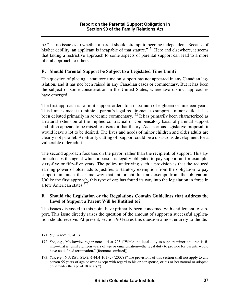be ". . . no issue as to whether a parent should attempt to become independent. Because of his/her debility, an applicant is incapable of that stature."<sup>171</sup> Here and elsewhere, it seems that taking a restrictive approach to some aspects of parental support can lead to a more liberal approach to others.

### **E. Should Parental Support be Subject to a Legislated Time Limit?**

The question of placing a statutory time on support has not appeared in any Canadian legislation, and it has not been raised in any Canadian cases or commentary. But it has been the subject of some consideration in the United States, where two distinct approaches have emerged.

The first approach is to limit support orders to a maximum of eighteen or nineteen years. This limit is meant to mimic a parent's legal requirement to support a minor child. It has been debated primarily in academic commentary.<sup>172</sup> It has primarily been characterized as a natural extension of the implied contractual or compensatory basis of parental support and often appears to be raised to discredit that theory. As a serious legislative proposal, it would leave a lot to be desired. The lives and needs of minor children and older adults are clearly not parallel. Arbitrarily cutting off support could be a disastrous development for a vulnerable older adult.

The second approach focusses on the payor, rather than the recipient, of support. This approach caps the age at which a person is legally obligated to pay support at, for example, sixty-five or fifty-five years. The policy underlying such a provision is that the reduced earning power of older adults justifies a statutory exemption from the obligation to pay support, in much the same way that minor children are exempt from the obligation. Unlike the first approach, this type of cap has found its way into the legislation in force in a few American states.<sup>173</sup>

#### **F. Should the Legislation or the Regulations Contain Guidelines that Address the Level of Support a Parent Will be Entitled to?**

The issues discussed to this point have primarily been concerned with entitlement to support. This issue directly raises the question of the amount of support a successful application should receive. At present, section 90 leaves this question almost entirely to the dis-

<sup>171.</sup> *Supra* note 38 at 13.

<sup>172.</sup> *See*, *e.g.*, Moskowitz, *supra* note 114 at 723 ("While the legal duty to support minor children is finite—that is, until eighteen years of age or emancipation—the legal duty to provide for parents would have no defined termination." [footnotes omitted]).

<sup>173.</sup> *See*, *e.g.*, N.J. REV. STAT. § 44:4-101 (c) (2007) ("The provisions of this section shall not apply to any person 55 years of age or over except with regard to his or her spouse, or his or her natural or adopted child under the age of 18 years.").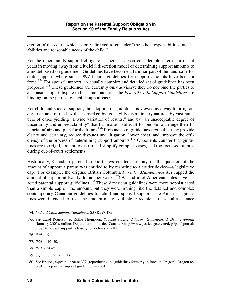cretion of the court, which is only directed to consider "the other responsibilities and liabilities and reasonable needs of the child."

For the other family support obligations, there has been considerable interest in recent years in moving away from a judicial discretion model of determining support amounts to a model based on guidelines. Guidelines have become a familiar part of the landscape for child support, where since 1997 federal guidelines for support amounts have been in force.<sup>174</sup> For spousal support, an equally complex and detailed set of guidelines has been proposed.<sup>175</sup> These guidelines are currently only advisory; they do not bind the parties to a spousal support dispute in the same manner as the *Federal Child Support Guidelines* are binding on the parties to a child support case.

For child and spousal support, the adoption of guidelines is viewed as a way to bring order to an area of the law that is marked by its "highly discretionary nature," by vast numbers of cases yielding "a wide variation of results," and by "an unacceptable degree of uncertainty and unpredictability" that has made it difficult for people to arrange their financial affairs and plan for the future.<sup>176</sup> Proponents of guidelines argue that they provide clarity and certainty, reduce disputes and litigation, lower costs, and improve the efficiency of the process of determining support amounts.<sup>177</sup> Opponents counter that guidelines are too rigid, too apt to distort and simplify complex cases, and too focussed on producing out-of-court settlements.<sup>178</sup>

Historically, Canadian parental support laws created certainty on the question of the amount of support a parent was entitled to by resorting to a cruder device—a legislative cap. (For example, the original British Columbia *Parents' Maintenance Act* capped the amount of support at twenty dollars per week.<sup>179</sup>) A handful of American states have enacted parental support guidelines.<sup>180</sup> These American guidelines were more sophisticated than a simple cap on the amount, but they were nothing like the detailed and complex contemporary Canadian guidelines for child and spousal support. The American guidelines were intended to track the amount made available to recipients of social assistance

- 177. *Ibid.* at 19–20.
- 178. *Ibid.* at 20–21.
- 179. *Supra* note 25, s. 5 (1).

<sup>174.</sup> *Federal Child Support Guidelines*, S.O.R./97-175.

<sup>175.</sup> *See* Carol Rogerson & Rollie Thompson, *Spousal Support Advisory Guidelines: A Draft Proposal* (January 2005), online: Department of Justice Canada <http://www.justice.gc.ca/en/dept/pub/spousal/ project/spousal\_support\_advisory\_guidelines\_e.pdf>.

<sup>176.</sup> *Ibid.* at 9.

<sup>180.</sup> *See* Britton, *supra* note 90 at 372 (reproducing the guidelines formerly in force in Oregon). Oregon repealed its parental support guidelines in 2001.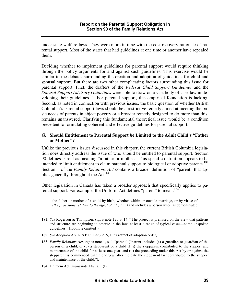under state welfare laws. They were more in tune with the cost recovery rationale of parental support. Most of the states that had guidelines at one time or another have repealed them.

Deciding whether to implement guidelines for parental support would require thinking through the policy arguments for and against such guidelines. This exercise would be similar to the debates surrounding the creation and adoption of guidelines for child and spousal support. But there are two other complicating factors surrounding this issue for parental support. First, the drafters of the *Federal Child Support Guidelines* and the *Spousal Support Advisory Guidelines* were able to draw on a vast body of case law in developing their guidelines.<sup>181</sup> For parental support, this empirical foundation is lacking. Second, as noted in connection with previous issues, the basic question of whether British Columbia's parental support laws should be a restrictive remedy aimed at meeting the basic needs of parents in abject poverty or a broader remedy designed to do more than this, remains unanswered. Clarifying this fundamental theoretical issue would be a condition precedent to formulating coherent and effective guidelines for parental support.

#### **G. Should Entitlement to Parental Support be Limited to the Adult Child's "Father or Mother"?**

Unlike the previous issues discussed in this chapter, the current British Columbia legislation does directly address the issue of who should be entitled to parental support. Section 90 defines parent as meaning "a father or mother." This specific definition appears to be intended to limit entitlement to claim parental support to biological or adoptive parents.<sup>182</sup> Section 1 of the *Family Relations Act* contains a broader definition of "parent" that applies generally throughout the Act.<sup>183</sup>

Other legislation in Canada has taken a broader approach that specifically applies to parental support. For example, the Uniform Act defines "parent" to mean:<sup>184</sup>

the father or mother of a child by birth, whether within or outside marriage, or by virtue of *(the provisions relating to the effect of adoption)* and includes a person who has demonstrated

182. *See Adoption Act*, R.S.B.C. 1996, c. 5, s. 37 (effect of adoption order).

184. Uniform Act, s*upra* note 147, s. 1 (f).

<sup>181.</sup> *See* Rogerson & Thompson, *supra* note 175 at 14 ("The project is premised on the view that patterns and structure are beginning to emerge in the law, at least a range of typical cases—some unspoken guidelines." [footnote omitted]).

<sup>183.</sup> *Family Relations Act*, *supra* note 1, s. 1 "parent" ("parent includes (a) a guardian or guardian of the person of a child, or (b) a stepparent of a child if (i) the stepparent contributed to the support and maintenance of the child for at least one year, and (ii) the proceeding under this Act by or against the stepparent is commenced within one year after the date the stepparent last contributed to the support and maintenance of the child.").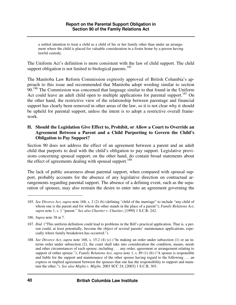a settled intention to treat a child as a child of his or her family other than under an arrangement where the child is placed for valuable consideration in a foster home by a person having lawful custody.

The Uniform Act's definition is more consistent with the law of child support. The child support obligation is not limited to biological parents.<sup>185</sup>

The Manitoba Law Reform Commission expressly approved of British Columbia's approach to this issue and recommended that Manitoba adopt wording similar to section 90.<sup>186</sup> The Commission was concerned that language similar to that found in the Uniform Act could leave an adult child open to multiple applications for parental support.<sup>187</sup> On the other hand, the restrictive view of the relationship between parentage and financial support has clearly been removed in other areas of the law, so it is not clear why it should be upheld for parental support, unless the intent is to adopt a restrictive overall framework.

## **H. Should the Legislation Give Effect to, Prohibit, or Allow a Court to Override an Agreement Between a Parent and a Child Purporting to Govern the Child's Obligation to Pay Support?**

Section 90 does not address the effect of an agreement between a parent and an adult child that purports to deal with the child's obligation to pay support. Legislative provisions concerning spousal support, on the other hand, do contain broad statements about the effect of agreements dealing with spousal support.<sup>188</sup>

The lack of public awareness about parental support, when compared with spousal support, probably accounts for the absence of any legislative direction on contractual arrangements regarding parental support. The absence of a defining event, such as the separation of spouses, may also restrain the desire to enter into an agreement governing the

<sup>185.</sup> *See Divorce Act*, *supra* note 168, s. 2 (2) (b) (defining "child of the marriage" to include "any child of whom one is the parent and for whom the other stands in the place of a parent"); *Family Relations Act*, *supra* note 1, s. 1 "parent." *See also Chartier v. Chartier*, [1999] 1 S.C.R. 242.

<sup>186.</sup> *Supra* note 38 at 7.

<sup>187.</sup> *Ibid.* ("This uniform definition could lead to problems in the Bill's practical application. That is, a person could, at least potentially, become the object of several parents' maintenance applications, especially where family breakdown has occurred.").

<sup>188.</sup> *See Divorce Act*, *supra* note 168, s. 15.2 (4) (c) ("In making an order under subsection (1) or an interim order under subsection (2), the court shall take into consideration the condition, means, needs and other circumstances of each spouse, including . . . any order, agreement or arrangement relating to support of either spouse."); *Family Relations Act*, *supra* note 1, s. 89 (1) (b) ("A spouse is responsible and liable for the support and maintenance of the other spouse having regard to the following . . . an express or implied agreement between the spouses that one has the responsibility to support and maintain the other."). *See also Miglin v. Miglin*, 2003 SCC 24, [2003] 1 S.C.R. 303.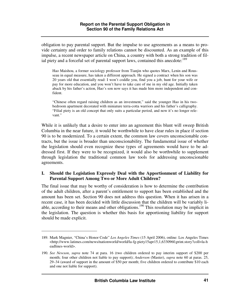obligation to pay parental support. But the impulse to use agreements as a means to provide certainty and order to family relations cannot be discounted. As an example of this impulse, a recent newspaper article on China, a country with both a strong tradition of filial piety and a forceful set of parental support laws, contained this anecdote:<sup>189</sup>

Hao Maishou, a former sociology professor from Tianjin who quotes Marx, Lenin and Rousseau in equal measure, has taken a different approach. He signed a contract when his son was 20 years old that essentially read: I won't coddle you, find you a job, hunt for your wife or pay for more education, and you won't have to take care of me in my old age. Initially taken aback by his father's action, Hao's son now says it has made him more independent and confident.

"Chinese often regard raising children as an investment," said the younger Hao in his twobedroom apartment decorated with miniature terra-cotta warriors and his father's calligraphy. "Filial piety is an old concept that only suits a particular period, and now it's no longer relevant."

While it is unlikely that a desire to enter into an agreement this blunt will sweep British Columbia in the near future, it would be worthwhile to have clear rules in place if section 90 is to be modernized. To a certain extent, the common law covers unconscionable contracts, but the issue is broader than unconscionability. The fundamental issue of whether the legislation should even recognize these types of agreements would have to be addressed first. If they were to be recognized, it would also be worthwhile to supplement through legislation the traditional common law tools for addressing unconscionable agreements.

### **I. Should the Legislation Expressly Deal with the Apportionment of Liability for Parental Support Among Two or More Adult Children?**

The final issue that may be worthy of consideration is how to determine the contribution of the adult children, after a parent's entitlement to support has been established and the amount has been set. Section 90 does not address this question. When it has arisen in a recent case, it has been decided with little discussion that the children will be variably liable, according to their means and other obligations.<sup>190</sup> This resolution may be implicit in the legislation. The question is whether this basis for apportioning liability for support should be made explicit.

<sup>189.</sup> Mark Magnier, "China's Honor Code" *Los Angeles Times* (15 April 2006), online: Los Angeles Times <http://www.latimes.com/news/nationworld/world/la-fg-piety15apr15,1,6330960,print.story?coll=la-h eadlines-world>.

<sup>190.</sup> *See Newson*, *supra* note 74 at para. 16 (two children ordered to pay interim support of \$200 per month; four other children not liable to pay support); *Anderson* (Master), *supra* note 60 at paras. 25, 29–34 (award of support in the amount of \$50 per month; five children ordered to contribute \$10 each and one not liable for support).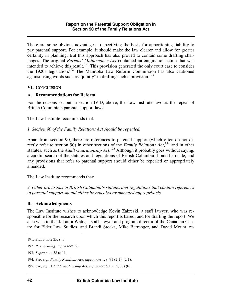There are some obvious advantages to specifying the basis for apportioning liability to pay parental support. For example, it should make the law clearer and allow for greater certainty in planning. But this approach has also proved to contain some drafting challenges. The original *Parents' Maintenance Act* contained an enigmatic section that was intended to achieve this result.<sup>191</sup> This provision generated the only court case to consider the 1920s legislation.<sup>192</sup> The Manitoba Law Reform Commission has also cautioned against using words such as "jointly" in drafting such a provision.<sup>193</sup>

#### **VI. CONCLUSION**

#### **A. Recommendations for Reform**

For the reasons set out in section IV.D, above, the Law Institute favours the repeal of British Columbia's parental support laws.

The Law Institute recommends that:

### *1. Section 90 of the Family Relations Act should be repealed.*

Apart from section 90, there are references to parental support (which often do not directly refer to section 90) in other sections of the *Family Relations Act*,<sup>194</sup> and in other statutes, such as the *Adult Guardianship Act*. <sup>195</sup> Although it probably goes without saying, a careful search of the statutes and regulations of British Columbia should be made, and any provisions that refer to parental support should either be repealed or appropriately amended.

The Law Institute recommends that:

*2. Other provisions in British Columbia's statutes and regulations that contain references to parental support should either be repealed or amended appropriately.* 

# **B. Acknowledgments**

The Law Institute wishes to acknowledge Kevin Zakreski, a staff lawyer, who was responsible for the research upon which this report is based, and for drafting the report. We also wish to thank Laura Watts, a staff lawyer and program director of the Canadian Centre for Elder Law Studies, and Brandi Stocks, Mike Barrenger, and David Mount, re-

<sup>191.</sup> *Supra* note 25, s. 3.

<sup>192.</sup> *R. v. Skilling*, *supra* note 36.

<sup>193.</sup> *Supra* note 38 at 11.

<sup>194.</sup> *See*, *e.g.*, *Family Relations Act*, *supra* note 1, s. 91 (2.1)–(2.1).

<sup>195.</sup> *See*, *e.g.*, *Adult Guardianship Act*, *supra* note 91, s. 56 (3) (b).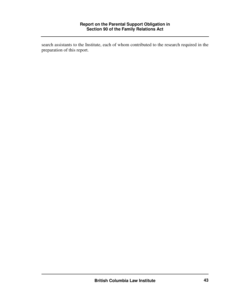search assistants to the Institute, each of whom contributed to the research required in the preparation of this report.